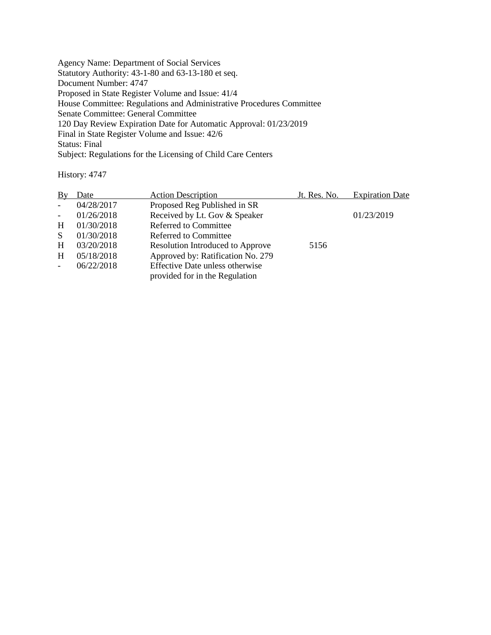Agency Name: Department of Social Services Statutory Authority: 43-1-80 and 63-13-180 et seq. Document Number: 4747 Proposed in State Register Volume and Issue: 41/4 House Committee: Regulations and Administrative Procedures Committee Senate Committee: General Committee 120 Day Review Expiration Date for Automatic Approval: 01/23/2019 Final in State Register Volume and Issue: 42/6 Status: Final Subject: Regulations for the Licensing of Child Care Centers

History: 4747

| By             | Date       | <b>Action Description</b>               | Jt. Res. No. | <b>Expiration Date</b> |
|----------------|------------|-----------------------------------------|--------------|------------------------|
| $\sim$         | 04/28/2017 | Proposed Reg Published in SR            |              |                        |
| $\blacksquare$ | 01/26/2018 | Received by Lt. Gov & Speaker           |              | 01/23/2019             |
| H              | 01/30/2018 | Referred to Committee                   |              |                        |
| <sub>S</sub>   | 01/30/2018 | Referred to Committee                   |              |                        |
| H              | 03/20/2018 | <b>Resolution Introduced to Approve</b> | 5156         |                        |
| H              | 05/18/2018 | Approved by: Ratification No. 279       |              |                        |
|                | 06/22/2018 | Effective Date unless otherwise         |              |                        |
|                |            | provided for in the Regulation          |              |                        |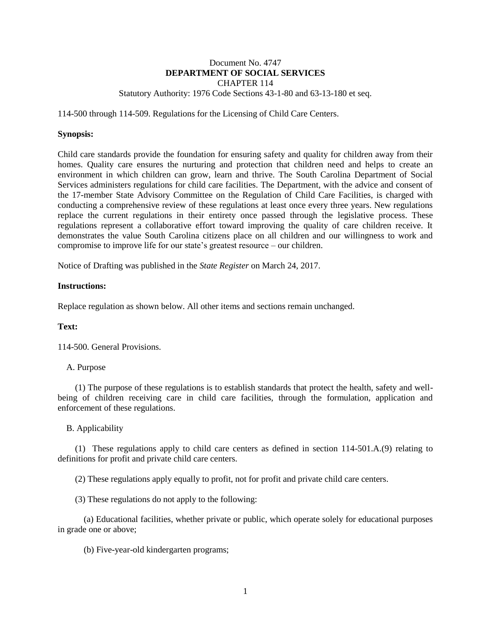# Document No. 4747 **DEPARTMENT OF SOCIAL SERVICES** CHAPTER 114

### Statutory Authority: 1976 Code Sections 43-1-80 and 63-13-180 et seq.

114-500 through 114-509. Regulations for the Licensing of Child Care Centers.

## **Synopsis:**

Child care standards provide the foundation for ensuring safety and quality for children away from their homes. Quality care ensures the nurturing and protection that children need and helps to create an environment in which children can grow, learn and thrive. The South Carolina Department of Social Services administers regulations for child care facilities. The Department, with the advice and consent of the 17-member State Advisory Committee on the Regulation of Child Care Facilities, is charged with conducting a comprehensive review of these regulations at least once every three years. New regulations replace the current regulations in their entirety once passed through the legislative process. These regulations represent a collaborative effort toward improving the quality of care children receive. It demonstrates the value South Carolina citizens place on all children and our willingness to work and compromise to improve life for our state's greatest resource – our children.

Notice of Drafting was published in the *State Register* on March 24, 2017.

## **Instructions:**

Replace regulation as shown below. All other items and sections remain unchanged.

# **Text:**

114-500. General Provisions.

### A. Purpose

(1) The purpose of these regulations is to establish standards that protect the health, safety and wellbeing of children receiving care in child care facilities, through the formulation, application and enforcement of these regulations.

# B. Applicability

(1) These regulations apply to child care centers as defined in section 114-501.A.(9) relating to definitions for profit and private child care centers.

(2) These regulations apply equally to profit, not for profit and private child care centers.

(3) These regulations do not apply to the following:

(a) Educational facilities, whether private or public, which operate solely for educational purposes in grade one or above;

(b) Five-year-old kindergarten programs;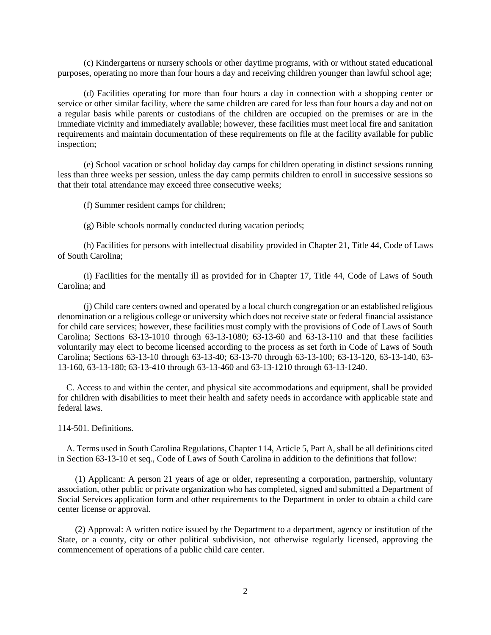(c) Kindergartens or nursery schools or other daytime programs, with or without stated educational purposes, operating no more than four hours a day and receiving children younger than lawful school age;

(d) Facilities operating for more than four hours a day in connection with a shopping center or service or other similar facility, where the same children are cared for less than four hours a day and not on a regular basis while parents or custodians of the children are occupied on the premises or are in the immediate vicinity and immediately available; however, these facilities must meet local fire and sanitation requirements and maintain documentation of these requirements on file at the facility available for public inspection;

(e) School vacation or school holiday day camps for children operating in distinct sessions running less than three weeks per session, unless the day camp permits children to enroll in successive sessions so that their total attendance may exceed three consecutive weeks;

(f) Summer resident camps for children;

(g) Bible schools normally conducted during vacation periods;

(h) Facilities for persons with intellectual disability provided in Chapter 21, Title 44, Code of Laws of South Carolina;

(i) Facilities for the mentally ill as provided for in Chapter 17, Title 44, Code of Laws of South Carolina; and

(j) Child care centers owned and operated by a local church congregation or an established religious denomination or a religious college or university which does not receive state or federal financial assistance for child care services; however, these facilities must comply with the provisions of Code of Laws of South Carolina; Sections 63-13-1010 through 63-13-1080; 63-13-60 and 63-13-110 and that these facilities voluntarily may elect to become licensed according to the process as set forth in Code of Laws of South Carolina; Sections 63-13-10 through 63-13-40; 63-13-70 through 63-13-100; 63-13-120, 63-13-140, 63- 13-160, 63-13-180; 63-13-410 through 63-13-460 and 63-13-1210 through 63-13-1240.

C. Access to and within the center, and physical site accommodations and equipment, shall be provided for children with disabilities to meet their health and safety needs in accordance with applicable state and federal laws.

114-501. Definitions.

A. Terms used in South Carolina Regulations, Chapter 114, Article 5, Part A, shall be all definitions cited in Section 63-13-10 et seq., Code of Laws of South Carolina in addition to the definitions that follow:

(1) Applicant: A person 21 years of age or older, representing a corporation, partnership, voluntary association, other public or private organization who has completed, signed and submitted a Department of Social Services application form and other requirements to the Department in order to obtain a child care center license or approval.

(2) Approval: A written notice issued by the Department to a department, agency or institution of the State, or a county, city or other political subdivision, not otherwise regularly licensed, approving the commencement of operations of a public child care center.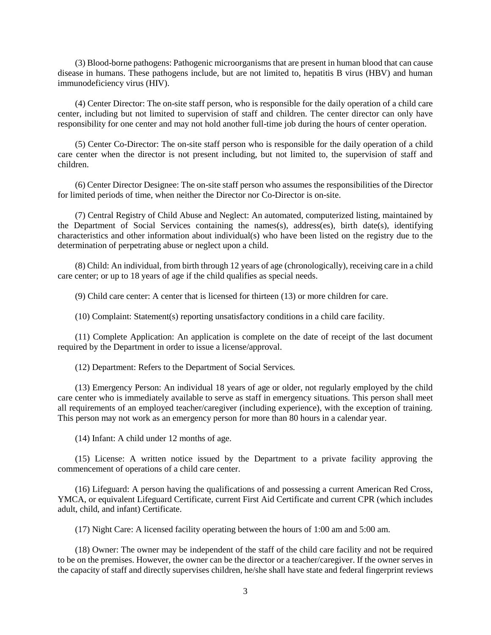(3) Blood-borne pathogens: Pathogenic microorganisms that are present in human blood that can cause disease in humans. These pathogens include, but are not limited to, hepatitis B virus (HBV) and human immunodeficiency virus (HIV).

(4) Center Director: The on-site staff person, who is responsible for the daily operation of a child care center, including but not limited to supervision of staff and children. The center director can only have responsibility for one center and may not hold another full-time job during the hours of center operation.

(5) Center Co-Director: The on-site staff person who is responsible for the daily operation of a child care center when the director is not present including, but not limited to, the supervision of staff and children.

(6) Center Director Designee: The on-site staff person who assumes the responsibilities of the Director for limited periods of time, when neither the Director nor Co-Director is on-site.

(7) Central Registry of Child Abuse and Neglect: An automated, computerized listing, maintained by the Department of Social Services containing the names(s), address(es), birth date(s), identifying characteristics and other information about individual(s) who have been listed on the registry due to the determination of perpetrating abuse or neglect upon a child.

(8) Child: An individual, from birth through 12 years of age (chronologically), receiving care in a child care center; or up to 18 years of age if the child qualifies as special needs.

(9) Child care center: A center that is licensed for thirteen (13) or more children for care.

(10) Complaint: Statement(s) reporting unsatisfactory conditions in a child care facility.

(11) Complete Application: An application is complete on the date of receipt of the last document required by the Department in order to issue a license/approval.

(12) Department: Refers to the Department of Social Services.

(13) Emergency Person: An individual 18 years of age or older, not regularly employed by the child care center who is immediately available to serve as staff in emergency situations. This person shall meet all requirements of an employed teacher/caregiver (including experience), with the exception of training. This person may not work as an emergency person for more than 80 hours in a calendar year.

(14) Infant: A child under 12 months of age.

(15) License: A written notice issued by the Department to a private facility approving the commencement of operations of a child care center.

(16) Lifeguard: A person having the qualifications of and possessing a current American Red Cross, YMCA, or equivalent Lifeguard Certificate, current First Aid Certificate and current CPR (which includes adult, child, and infant) Certificate.

(17) Night Care: A licensed facility operating between the hours of 1:00 am and 5:00 am.

(18) Owner: The owner may be independent of the staff of the child care facility and not be required to be on the premises. However, the owner can be the director or a teacher/caregiver. If the owner serves in the capacity of staff and directly supervises children, he/she shall have state and federal fingerprint reviews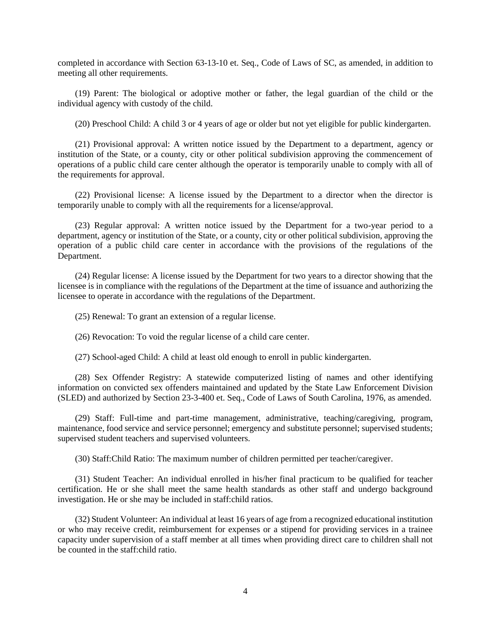completed in accordance with Section 63-13-10 et. Seq., Code of Laws of SC, as amended, in addition to meeting all other requirements.

(19) Parent: The biological or adoptive mother or father, the legal guardian of the child or the individual agency with custody of the child.

(20) Preschool Child: A child 3 or 4 years of age or older but not yet eligible for public kindergarten.

(21) Provisional approval: A written notice issued by the Department to a department, agency or institution of the State, or a county, city or other political subdivision approving the commencement of operations of a public child care center although the operator is temporarily unable to comply with all of the requirements for approval.

(22) Provisional license: A license issued by the Department to a director when the director is temporarily unable to comply with all the requirements for a license/approval.

(23) Regular approval: A written notice issued by the Department for a two-year period to a department, agency or institution of the State, or a county, city or other political subdivision, approving the operation of a public child care center in accordance with the provisions of the regulations of the Department.

(24) Regular license: A license issued by the Department for two years to a director showing that the licensee is in compliance with the regulations of the Department at the time of issuance and authorizing the licensee to operate in accordance with the regulations of the Department.

(25) Renewal: To grant an extension of a regular license.

(26) Revocation: To void the regular license of a child care center.

(27) School-aged Child: A child at least old enough to enroll in public kindergarten.

(28) Sex Offender Registry: A statewide computerized listing of names and other identifying information on convicted sex offenders maintained and updated by the State Law Enforcement Division (SLED) and authorized by Section 23-3-400 et. Seq., Code of Laws of South Carolina, 1976, as amended.

(29) Staff: Full-time and part-time management, administrative, teaching/caregiving, program, maintenance, food service and service personnel; emergency and substitute personnel; supervised students; supervised student teachers and supervised volunteers.

(30) Staff:Child Ratio: The maximum number of children permitted per teacher/caregiver.

(31) Student Teacher: An individual enrolled in his/her final practicum to be qualified for teacher certification. He or she shall meet the same health standards as other staff and undergo background investigation. He or she may be included in staff:child ratios.

(32) Student Volunteer: An individual at least 16 years of age from a recognized educational institution or who may receive credit, reimbursement for expenses or a stipend for providing services in a trainee capacity under supervision of a staff member at all times when providing direct care to children shall not be counted in the staff:child ratio.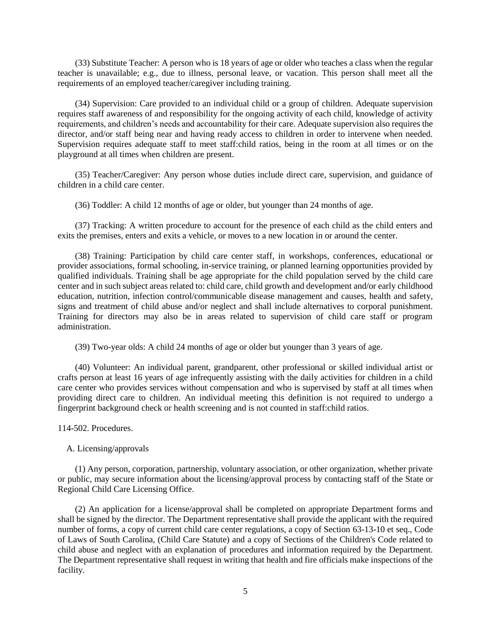(33) Substitute Teacher: A person who is 18 years of age or older who teaches a class when the regular teacher is unavailable; e.g., due to illness, personal leave, or vacation. This person shall meet all the requirements of an employed teacher/caregiver including training.

(34) Supervision: Care provided to an individual child or a group of children. Adequate supervision requires staff awareness of and responsibility for the ongoing activity of each child, knowledge of activity requirements, and children's needs and accountability for their care. Adequate supervision also requires the director, and/or staff being near and having ready access to children in order to intervene when needed. Supervision requires adequate staff to meet staff:child ratios, being in the room at all times or on the playground at all times when children are present.

(35) Teacher/Caregiver: Any person whose duties include direct care, supervision, and guidance of children in a child care center.

(36) Toddler: A child 12 months of age or older, but younger than 24 months of age.

(37) Tracking: A written procedure to account for the presence of each child as the child enters and exits the premises, enters and exits a vehicle, or moves to a new location in or around the center.

(38) Training: Participation by child care center staff, in workshops, conferences, educational or provider associations, formal schooling, in-service training, or planned learning opportunities provided by qualified individuals. Training shall be age appropriate for the child population served by the child care center and in such subject areas related to: child care, child growth and development and/or early childhood education, nutrition, infection control/communicable disease management and causes, health and safety, signs and treatment of child abuse and/or neglect and shall include alternatives to corporal punishment. Training for directors may also be in areas related to supervision of child care staff or program administration.

(39) Two-year olds: A child 24 months of age or older but younger than 3 years of age.

(40) Volunteer: An individual parent, grandparent, other professional or skilled individual artist or crafts person at least 16 years of age infrequently assisting with the daily activities for children in a child care center who provides services without compensation and who is supervised by staff at all times when providing direct care to children. An individual meeting this definition is not required to undergo a fingerprint background check or health screening and is not counted in staff:child ratios.

114-502. Procedures.

#### A. Licensing/approvals

(1) Any person, corporation, partnership, voluntary association, or other organization, whether private or public, may secure information about the licensing/approval process by contacting staff of the State or Regional Child Care Licensing Office.

(2) An application for a license/approval shall be completed on appropriate Department forms and shall be signed by the director. The Department representative shall provide the applicant with the required number of forms, a copy of current child care center regulations, a copy of Section 63-13-10 et seq., Code of Laws of South Carolina, (Child Care Statute) and a copy of Sections of the Children's Code related to child abuse and neglect with an explanation of procedures and information required by the Department. The Department representative shall request in writing that health and fire officials make inspections of the facility.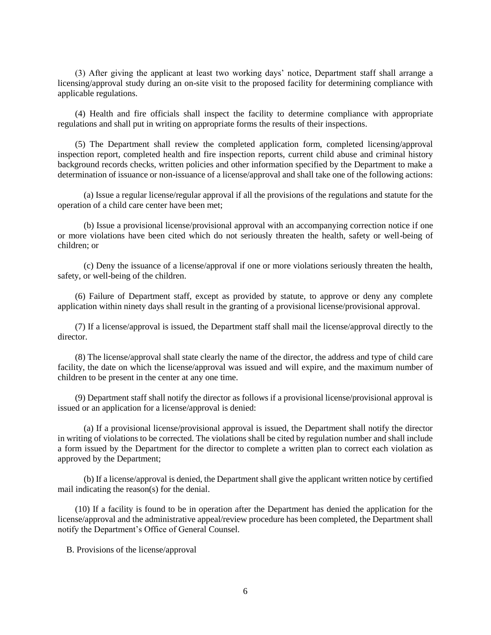(3) After giving the applicant at least two working days' notice, Department staff shall arrange a licensing/approval study during an on-site visit to the proposed facility for determining compliance with applicable regulations.

(4) Health and fire officials shall inspect the facility to determine compliance with appropriate regulations and shall put in writing on appropriate forms the results of their inspections.

(5) The Department shall review the completed application form, completed licensing/approval inspection report, completed health and fire inspection reports, current child abuse and criminal history background records checks, written policies and other information specified by the Department to make a determination of issuance or non-issuance of a license/approval and shall take one of the following actions:

(a) Issue a regular license/regular approval if all the provisions of the regulations and statute for the operation of a child care center have been met;

(b) Issue a provisional license/provisional approval with an accompanying correction notice if one or more violations have been cited which do not seriously threaten the health, safety or well-being of children; or

(c) Deny the issuance of a license/approval if one or more violations seriously threaten the health, safety, or well-being of the children.

(6) Failure of Department staff, except as provided by statute, to approve or deny any complete application within ninety days shall result in the granting of a provisional license/provisional approval.

(7) If a license/approval is issued, the Department staff shall mail the license/approval directly to the director.

(8) The license/approval shall state clearly the name of the director, the address and type of child care facility, the date on which the license/approval was issued and will expire, and the maximum number of children to be present in the center at any one time.

(9) Department staff shall notify the director as follows if a provisional license/provisional approval is issued or an application for a license/approval is denied:

(a) If a provisional license/provisional approval is issued, the Department shall notify the director in writing of violations to be corrected. The violations shall be cited by regulation number and shall include a form issued by the Department for the director to complete a written plan to correct each violation as approved by the Department;

(b) If a license/approval is denied, the Department shall give the applicant written notice by certified mail indicating the reason(s) for the denial.

(10) If a facility is found to be in operation after the Department has denied the application for the license/approval and the administrative appeal/review procedure has been completed, the Department shall notify the Department's Office of General Counsel.

B. Provisions of the license/approval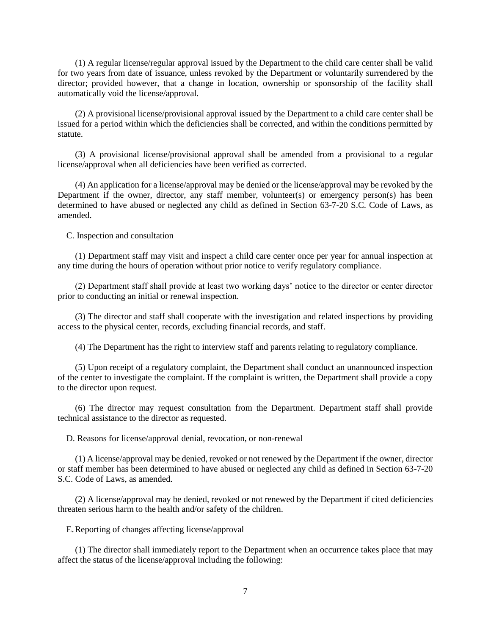(1) A regular license/regular approval issued by the Department to the child care center shall be valid for two years from date of issuance, unless revoked by the Department or voluntarily surrendered by the director; provided however, that a change in location, ownership or sponsorship of the facility shall automatically void the license/approval.

(2) A provisional license/provisional approval issued by the Department to a child care center shall be issued for a period within which the deficiencies shall be corrected, and within the conditions permitted by statute.

(3) A provisional license/provisional approval shall be amended from a provisional to a regular license/approval when all deficiencies have been verified as corrected.

(4) An application for a license/approval may be denied or the license/approval may be revoked by the Department if the owner, director, any staff member, volunteer(s) or emergency person(s) has been determined to have abused or neglected any child as defined in Section 63-7-20 S.C. Code of Laws, as amended.

C. Inspection and consultation

(1) Department staff may visit and inspect a child care center once per year for annual inspection at any time during the hours of operation without prior notice to verify regulatory compliance.

(2) Department staff shall provide at least two working days' notice to the director or center director prior to conducting an initial or renewal inspection.

(3) The director and staff shall cooperate with the investigation and related inspections by providing access to the physical center, records, excluding financial records, and staff.

(4) The Department has the right to interview staff and parents relating to regulatory compliance.

(5) Upon receipt of a regulatory complaint, the Department shall conduct an unannounced inspection of the center to investigate the complaint. If the complaint is written, the Department shall provide a copy to the director upon request.

(6) The director may request consultation from the Department. Department staff shall provide technical assistance to the director as requested.

D. Reasons for license/approval denial, revocation, or non-renewal

(1) A license/approval may be denied, revoked or not renewed by the Department if the owner, director or staff member has been determined to have abused or neglected any child as defined in Section 63-7-20 S.C. Code of Laws, as amended.

(2) A license/approval may be denied, revoked or not renewed by the Department if cited deficiencies threaten serious harm to the health and/or safety of the children.

E.Reporting of changes affecting license/approval

(1) The director shall immediately report to the Department when an occurrence takes place that may affect the status of the license/approval including the following: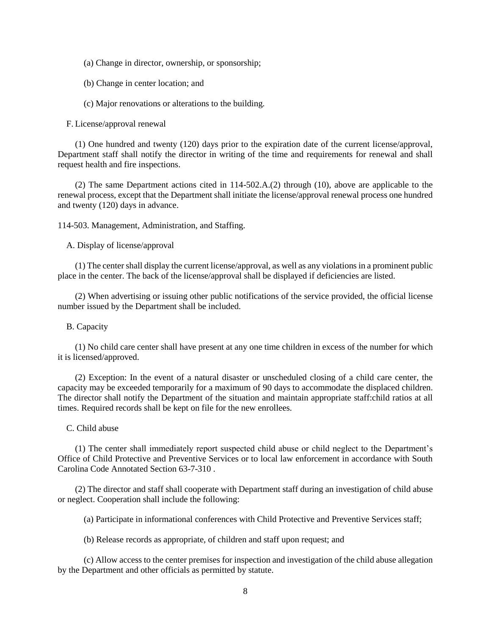- (a) Change in director, ownership, or sponsorship;
- (b) Change in center location; and

(c) Major renovations or alterations to the building.

F. License/approval renewal

(1) One hundred and twenty (120) days prior to the expiration date of the current license/approval, Department staff shall notify the director in writing of the time and requirements for renewal and shall request health and fire inspections.

(2) The same Department actions cited in 114-502.A.(2) through (10), above are applicable to the renewal process, except that the Department shall initiate the license/approval renewal process one hundred and twenty (120) days in advance.

114-503. Management, Administration, and Staffing.

A. Display of license/approval

(1) The center shall display the current license/approval, as well as any violations in a prominent public place in the center. The back of the license/approval shall be displayed if deficiencies are listed.

(2) When advertising or issuing other public notifications of the service provided, the official license number issued by the Department shall be included.

# B. Capacity

(1) No child care center shall have present at any one time children in excess of the number for which it is licensed/approved.

(2) Exception: In the event of a natural disaster or unscheduled closing of a child care center, the capacity may be exceeded temporarily for a maximum of 90 days to accommodate the displaced children. The director shall notify the Department of the situation and maintain appropriate staff:child ratios at all times. Required records shall be kept on file for the new enrollees.

### C. Child abuse

(1) The center shall immediately report suspected child abuse or child neglect to the Department's Office of Child Protective and Preventive Services or to local law enforcement in accordance with South Carolina Code Annotated Section 63-7-310 .

(2) The director and staff shall cooperate with Department staff during an investigation of child abuse or neglect. Cooperation shall include the following:

(a) Participate in informational conferences with Child Protective and Preventive Services staff;

(b) Release records as appropriate, of children and staff upon request; and

(c) Allow access to the center premises for inspection and investigation of the child abuse allegation by the Department and other officials as permitted by statute.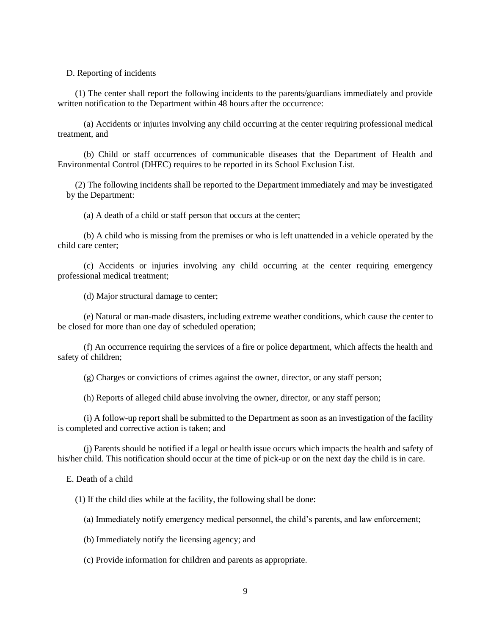D. Reporting of incidents

(1) The center shall report the following incidents to the parents/guardians immediately and provide written notification to the Department within 48 hours after the occurrence:

(a) Accidents or injuries involving any child occurring at the center requiring professional medical treatment, and

(b) Child or staff occurrences of communicable diseases that the Department of Health and Environmental Control (DHEC) requires to be reported in its School Exclusion List.

(2) The following incidents shall be reported to the Department immediately and may be investigated by the Department:

(a) A death of a child or staff person that occurs at the center;

(b) A child who is missing from the premises or who is left unattended in a vehicle operated by the child care center;

(c) Accidents or injuries involving any child occurring at the center requiring emergency professional medical treatment;

(d) Major structural damage to center;

(e) Natural or man-made disasters, including extreme weather conditions, which cause the center to be closed for more than one day of scheduled operation;

(f) An occurrence requiring the services of a fire or police department, which affects the health and safety of children;

(g) Charges or convictions of crimes against the owner, director, or any staff person;

(h) Reports of alleged child abuse involving the owner, director, or any staff person;

(i) A follow-up report shall be submitted to the Department as soon as an investigation of the facility is completed and corrective action is taken; and

(j) Parents should be notified if a legal or health issue occurs which impacts the health and safety of his/her child. This notification should occur at the time of pick-up or on the next day the child is in care.

E. Death of a child

(1) If the child dies while at the facility, the following shall be done:

(a) Immediately notify emergency medical personnel, the child's parents, and law enforcement;

(b) Immediately notify the licensing agency; and

(c) Provide information for children and parents as appropriate.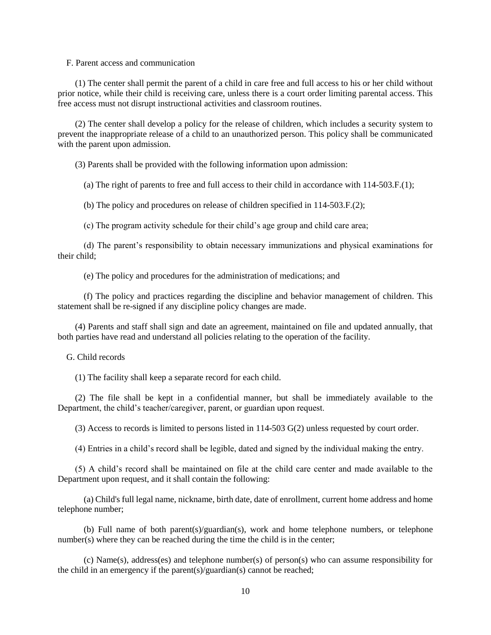F. Parent access and communication

(1) The center shall permit the parent of a child in care free and full access to his or her child without prior notice, while their child is receiving care, unless there is a court order limiting parental access. This free access must not disrupt instructional activities and classroom routines.

(2) The center shall develop a policy for the release of children, which includes a security system to prevent the inappropriate release of a child to an unauthorized person. This policy shall be communicated with the parent upon admission.

(3) Parents shall be provided with the following information upon admission:

(a) The right of parents to free and full access to their child in accordance with 114-503.F.(1);

(b) The policy and procedures on release of children specified in 114-503.F.(2);

(c) The program activity schedule for their child's age group and child care area;

(d) The parent's responsibility to obtain necessary immunizations and physical examinations for their child;

(e) The policy and procedures for the administration of medications; and

(f) The policy and practices regarding the discipline and behavior management of children. This statement shall be re-signed if any discipline policy changes are made.

(4) Parents and staff shall sign and date an agreement, maintained on file and updated annually, that both parties have read and understand all policies relating to the operation of the facility.

G. Child records

(1) The facility shall keep a separate record for each child.

(2) The file shall be kept in a confidential manner, but shall be immediately available to the Department, the child's teacher/caregiver, parent, or guardian upon request.

(3) Access to records is limited to persons listed in 114-503 G(2) unless requested by court order.

(4) Entries in a child's record shall be legible, dated and signed by the individual making the entry.

(5) A child's record shall be maintained on file at the child care center and made available to the Department upon request, and it shall contain the following:

(a) Child's full legal name, nickname, birth date, date of enrollment, current home address and home telephone number;

(b) Full name of both parent(s)/guardian(s), work and home telephone numbers, or telephone number(s) where they can be reached during the time the child is in the center;

(c) Name(s), address(es) and telephone number(s) of person(s) who can assume responsibility for the child in an emergency if the parent(s)/guardian(s) cannot be reached;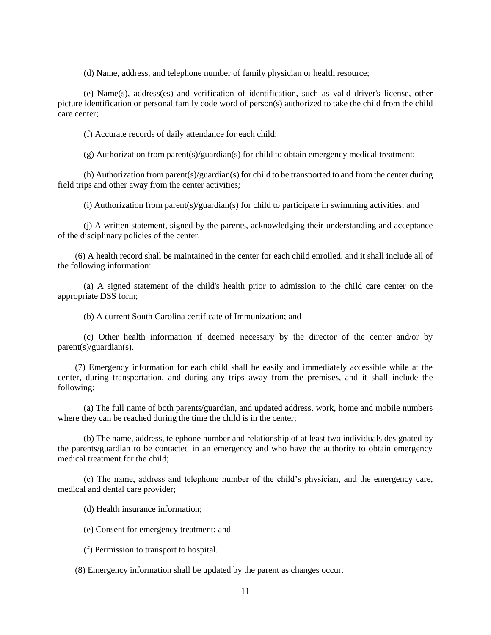(d) Name, address, and telephone number of family physician or health resource;

(e) Name(s), address(es) and verification of identification, such as valid driver's license, other picture identification or personal family code word of person(s) authorized to take the child from the child care center;

(f) Accurate records of daily attendance for each child;

(g) Authorization from parent(s)/guardian(s) for child to obtain emergency medical treatment;

(h) Authorization from parent(s)/guardian(s) for child to be transported to and from the center during field trips and other away from the center activities;

(i) Authorization from parent(s)/guardian(s) for child to participate in swimming activities; and

(j) A written statement, signed by the parents, acknowledging their understanding and acceptance of the disciplinary policies of the center.

(6) A health record shall be maintained in the center for each child enrolled, and it shall include all of the following information:

(a) A signed statement of the child's health prior to admission to the child care center on the appropriate DSS form;

(b) A current South Carolina certificate of Immunization; and

(c) Other health information if deemed necessary by the director of the center and/or by parent(s)/guardian(s).

(7) Emergency information for each child shall be easily and immediately accessible while at the center, during transportation, and during any trips away from the premises, and it shall include the following:

(a) The full name of both parents/guardian, and updated address, work, home and mobile numbers where they can be reached during the time the child is in the center;

(b) The name, address, telephone number and relationship of at least two individuals designated by the parents/guardian to be contacted in an emergency and who have the authority to obtain emergency medical treatment for the child;

(c) The name, address and telephone number of the child's physician, and the emergency care, medical and dental care provider;

(d) Health insurance information;

(e) Consent for emergency treatment; and

(f) Permission to transport to hospital.

(8) Emergency information shall be updated by the parent as changes occur.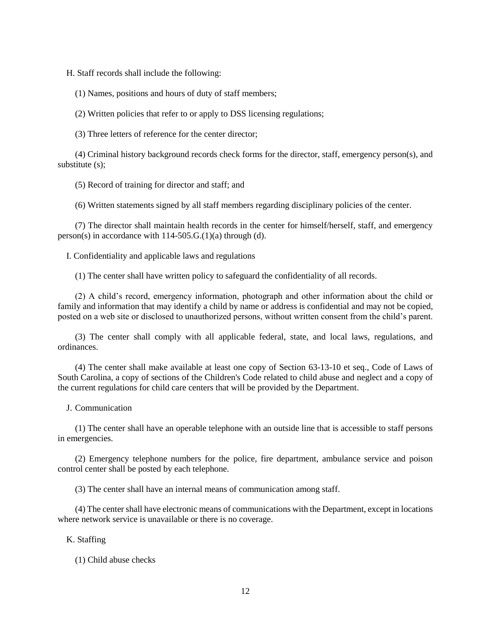H. Staff records shall include the following:

(1) Names, positions and hours of duty of staff members;

(2) Written policies that refer to or apply to DSS licensing regulations;

(3) Three letters of reference for the center director;

(4) Criminal history background records check forms for the director, staff, emergency person(s), and substitute (s);

(5) Record of training for director and staff; and

(6) Written statements signed by all staff members regarding disciplinary policies of the center.

(7) The director shall maintain health records in the center for himself/herself, staff, and emergency person(s) in accordance with  $114-505.G.(1)(a)$  through (d).

I. Confidentiality and applicable laws and regulations

(1) The center shall have written policy to safeguard the confidentiality of all records.

(2) A child's record, emergency information, photograph and other information about the child or family and information that may identify a child by name or address is confidential and may not be copied, posted on a web site or disclosed to unauthorized persons, without written consent from the child's parent.

(3) The center shall comply with all applicable federal, state, and local laws, regulations, and ordinances.

(4) The center shall make available at least one copy of Section 63-13-10 et seq., Code of Laws of South Carolina, a copy of sections of the Children's Code related to child abuse and neglect and a copy of the current regulations for child care centers that will be provided by the Department.

J. Communication

(1) The center shall have an operable telephone with an outside line that is accessible to staff persons in emergencies.

(2) Emergency telephone numbers for the police, fire department, ambulance service and poison control center shall be posted by each telephone.

(3) The center shall have an internal means of communication among staff.

(4) The center shall have electronic means of communications with the Department, except in locations where network service is unavailable or there is no coverage.

K. Staffing

(1) Child abuse checks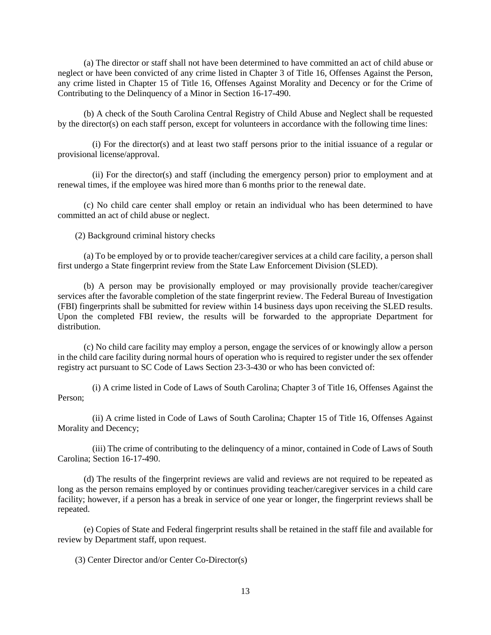(a) The director or staff shall not have been determined to have committed an act of child abuse or neglect or have been convicted of any crime listed in Chapter 3 of Title 16, Offenses Against the Person, any crime listed in Chapter 15 of Title 16, Offenses Against Morality and Decency or for the Crime of Contributing to the Delinquency of a Minor in Section 16-17-490.

(b) A check of the South Carolina Central Registry of Child Abuse and Neglect shall be requested by the director(s) on each staff person, except for volunteers in accordance with the following time lines:

(i) For the director(s) and at least two staff persons prior to the initial issuance of a regular or provisional license/approval.

(ii) For the director(s) and staff (including the emergency person) prior to employment and at renewal times, if the employee was hired more than 6 months prior to the renewal date.

(c) No child care center shall employ or retain an individual who has been determined to have committed an act of child abuse or neglect.

(2) Background criminal history checks

(a) To be employed by or to provide teacher/caregiver services at a child care facility, a person shall first undergo a State fingerprint review from the State Law Enforcement Division (SLED).

(b) A person may be provisionally employed or may provisionally provide teacher/caregiver services after the favorable completion of the state fingerprint review. The Federal Bureau of Investigation (FBI) fingerprints shall be submitted for review within 14 business days upon receiving the SLED results. Upon the completed FBI review, the results will be forwarded to the appropriate Department for distribution.

(c) No child care facility may employ a person, engage the services of or knowingly allow a person in the child care facility during normal hours of operation who is required to register under the sex offender registry act pursuant to SC Code of Laws Section 23-3-430 or who has been convicted of:

(i) A crime listed in Code of Laws of South Carolina; Chapter 3 of Title 16, Offenses Against the Person;

(ii) A crime listed in Code of Laws of South Carolina; Chapter 15 of Title 16, Offenses Against Morality and Decency;

(iii) The crime of contributing to the delinquency of a minor, contained in Code of Laws of South Carolina; Section 16-17-490.

(d) The results of the fingerprint reviews are valid and reviews are not required to be repeated as long as the person remains employed by or continues providing teacher/caregiver services in a child care facility; however, if a person has a break in service of one year or longer, the fingerprint reviews shall be repeated.

(e) Copies of State and Federal fingerprint results shall be retained in the staff file and available for review by Department staff, upon request.

(3) Center Director and/or Center Co-Director(s)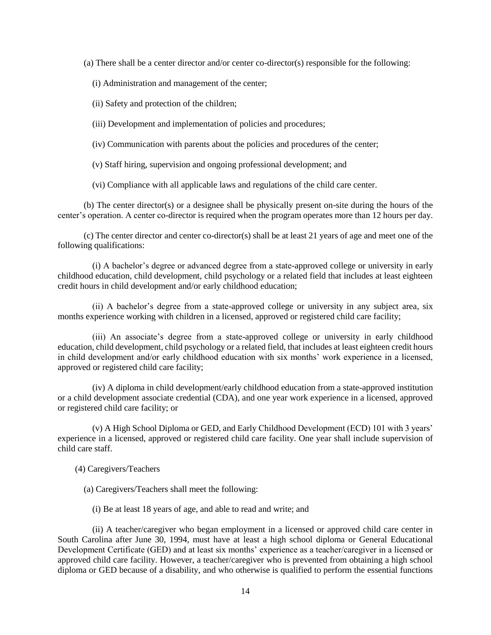(a) There shall be a center director and/or center co-director(s) responsible for the following:

(i) Administration and management of the center;

(ii) Safety and protection of the children;

(iii) Development and implementation of policies and procedures;

(iv) Communication with parents about the policies and procedures of the center;

(v) Staff hiring, supervision and ongoing professional development; and

(vi) Compliance with all applicable laws and regulations of the child care center.

(b) The center director(s) or a designee shall be physically present on-site during the hours of the center's operation. A center co-director is required when the program operates more than 12 hours per day.

(c) The center director and center co-director(s) shall be at least 21 years of age and meet one of the following qualifications:

(i) A bachelor's degree or advanced degree from a state-approved college or university in early childhood education, child development, child psychology or a related field that includes at least eighteen credit hours in child development and/or early childhood education;

(ii) A bachelor's degree from a state-approved college or university in any subject area, six months experience working with children in a licensed, approved or registered child care facility;

(iii) An associate's degree from a state-approved college or university in early childhood education, child development, child psychology or a related field, that includes at least eighteen credit hours in child development and/or early childhood education with six months' work experience in a licensed, approved or registered child care facility;

(iv) A diploma in child development/early childhood education from a state-approved institution or a child development associate credential (CDA), and one year work experience in a licensed, approved or registered child care facility; or

(v) A High School Diploma or GED, and Early Childhood Development (ECD) 101 with 3 years' experience in a licensed, approved or registered child care facility. One year shall include supervision of child care staff.

(4) Caregivers/Teachers

(a) Caregivers/Teachers shall meet the following:

(i) Be at least 18 years of age, and able to read and write; and

(ii) A teacher/caregiver who began employment in a licensed or approved child care center in South Carolina after June 30, 1994, must have at least a high school diploma or General Educational Development Certificate (GED) and at least six months' experience as a teacher/caregiver in a licensed or approved child care facility. However, a teacher/caregiver who is prevented from obtaining a high school diploma or GED because of a disability, and who otherwise is qualified to perform the essential functions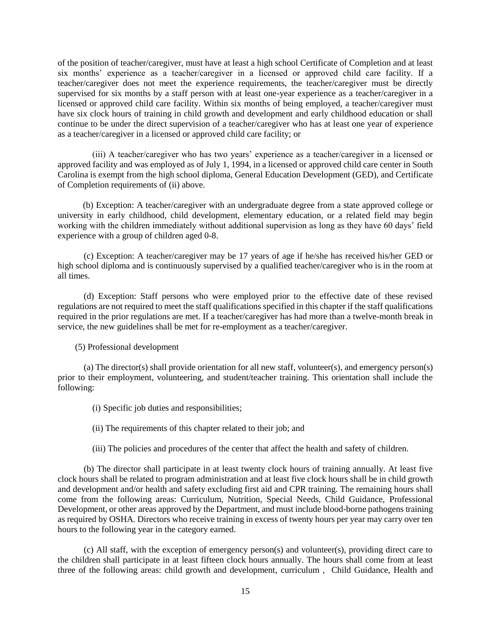of the position of teacher/caregiver, must have at least a high school Certificate of Completion and at least six months' experience as a teacher/caregiver in a licensed or approved child care facility. If a teacher/caregiver does not meet the experience requirements, the teacher/caregiver must be directly supervised for six months by a staff person with at least one-year experience as a teacher/caregiver in a licensed or approved child care facility. Within six months of being employed, a teacher/caregiver must have six clock hours of training in child growth and development and early childhood education or shall continue to be under the direct supervision of a teacher/caregiver who has at least one year of experience as a teacher/caregiver in a licensed or approved child care facility; or

(iii) A teacher/caregiver who has two years' experience as a teacher/caregiver in a licensed or approved facility and was employed as of July 1, 1994, in a licensed or approved child care center in South Carolina is exempt from the high school diploma, General Education Development (GED), and Certificate of Completion requirements of (ii) above.

(b) Exception: A teacher/caregiver with an undergraduate degree from a state approved college or university in early childhood, child development, elementary education, or a related field may begin working with the children immediately without additional supervision as long as they have 60 days' field experience with a group of children aged 0-8.

(c) Exception: A teacher/caregiver may be 17 years of age if he/she has received his/her GED or high school diploma and is continuously supervised by a qualified teacher/caregiver who is in the room at all times.

(d) Exception: Staff persons who were employed prior to the effective date of these revised regulations are not required to meet the staff qualifications specified in this chapter if the staff qualifications required in the prior regulations are met. If a teacher/caregiver has had more than a twelve-month break in service, the new guidelines shall be met for re-employment as a teacher/caregiver.

(5) Professional development

(a) The director(s) shall provide orientation for all new staff, volunteer(s), and emergency person(s) prior to their employment, volunteering, and student/teacher training. This orientation shall include the following:

(i) Specific job duties and responsibilities;

(ii) The requirements of this chapter related to their job; and

(iii) The policies and procedures of the center that affect the health and safety of children.

(b) The director shall participate in at least twenty clock hours of training annually. At least five clock hours shall be related to program administration and at least five clock hours shall be in child growth and development and/or health and safety excluding first aid and CPR training. The remaining hours shall come from the following areas: Curriculum, Nutrition, Special Needs, Child Guidance, Professional Development, or other areas approved by the Department, and must include blood-borne pathogens training as required by OSHA. Directors who receive training in excess of twenty hours per year may carry over ten hours to the following year in the category earned.

(c) All staff, with the exception of emergency person(s) and volunteer(s), providing direct care to the children shall participate in at least fifteen clock hours annually. The hours shall come from at least three of the following areas: child growth and development, curriculum , Child Guidance, Health and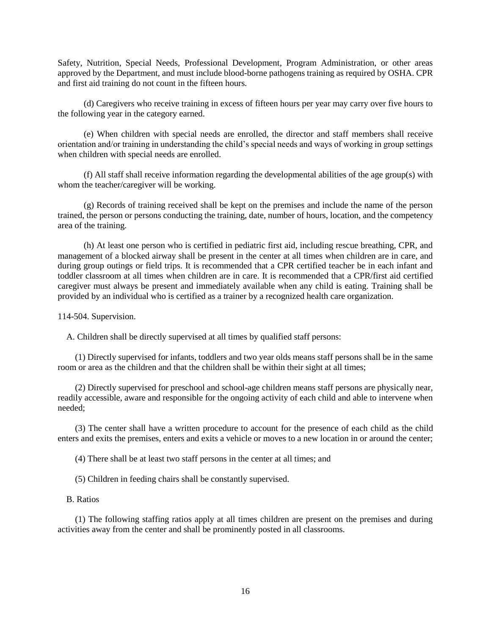Safety, Nutrition, Special Needs, Professional Development, Program Administration, or other areas approved by the Department, and must include blood-borne pathogens training as required by OSHA. CPR and first aid training do not count in the fifteen hours.

(d) Caregivers who receive training in excess of fifteen hours per year may carry over five hours to the following year in the category earned.

(e) When children with special needs are enrolled, the director and staff members shall receive orientation and/or training in understanding the child's special needs and ways of working in group settings when children with special needs are enrolled.

(f) All staff shall receive information regarding the developmental abilities of the age group(s) with whom the teacher/caregiver will be working.

(g) Records of training received shall be kept on the premises and include the name of the person trained, the person or persons conducting the training, date, number of hours, location, and the competency area of the training.

(h) At least one person who is certified in pediatric first aid, including rescue breathing, CPR, and management of a blocked airway shall be present in the center at all times when children are in care, and during group outings or field trips. It is recommended that a CPR certified teacher be in each infant and toddler classroom at all times when children are in care. It is recommended that a CPR/first aid certified caregiver must always be present and immediately available when any child is eating. Training shall be provided by an individual who is certified as a trainer by a recognized health care organization.

114-504. Supervision.

A. Children shall be directly supervised at all times by qualified staff persons:

(1) Directly supervised for infants, toddlers and two year olds means staff persons shall be in the same room or area as the children and that the children shall be within their sight at all times;

(2) Directly supervised for preschool and school-age children means staff persons are physically near, readily accessible, aware and responsible for the ongoing activity of each child and able to intervene when needed;

(3) The center shall have a written procedure to account for the presence of each child as the child enters and exits the premises, enters and exits a vehicle or moves to a new location in or around the center;

(4) There shall be at least two staff persons in the center at all times; and

(5) Children in feeding chairs shall be constantly supervised.

#### B. Ratios

(1) The following staffing ratios apply at all times children are present on the premises and during activities away from the center and shall be prominently posted in all classrooms.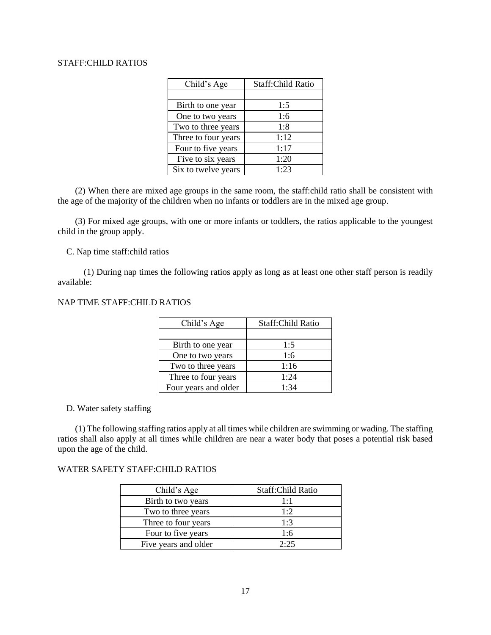### STAFF:CHILD RATIOS

| Child's Age         | <b>Staff:Child Ratio</b> |
|---------------------|--------------------------|
|                     |                          |
| Birth to one year   | 1:5                      |
| One to two years    | 1:6                      |
| Two to three years  | 1:8                      |
| Three to four years | 1:12                     |
| Four to five years  | 1:17                     |
| Five to six years   | 1:20                     |
| Six to twelve years | 1:23                     |

(2) When there are mixed age groups in the same room, the staff:child ratio shall be consistent with the age of the majority of the children when no infants or toddlers are in the mixed age group.

(3) For mixed age groups, with one or more infants or toddlers, the ratios applicable to the youngest child in the group apply.

C. Nap time staff:child ratios

(1) During nap times the following ratios apply as long as at least one other staff person is readily available:

# NAP TIME STAFF:CHILD RATIOS

| Child's Age          | Staff:Child Ratio |
|----------------------|-------------------|
|                      |                   |
| Birth to one year    | 1:5               |
| One to two years     | 1:6               |
| Two to three years   | 1:16              |
| Three to four years  | 1:24              |
| Four years and older | 1.34              |

### D. Water safety staffing

(1) The following staffing ratios apply at all times while children are swimming or wading. The staffing ratios shall also apply at all times while children are near a water body that poses a potential risk based upon the age of the child.

# WATER SAFETY STAFF:CHILD RATIOS

| Child's Age          | Staff: Child Ratio |
|----------------------|--------------------|
| Birth to two years   | 1:1                |
| Two to three years   | 1:2                |
| Three to four years  | 1:3                |
| Four to five years   | 1:6                |
| Five years and older | 2.25               |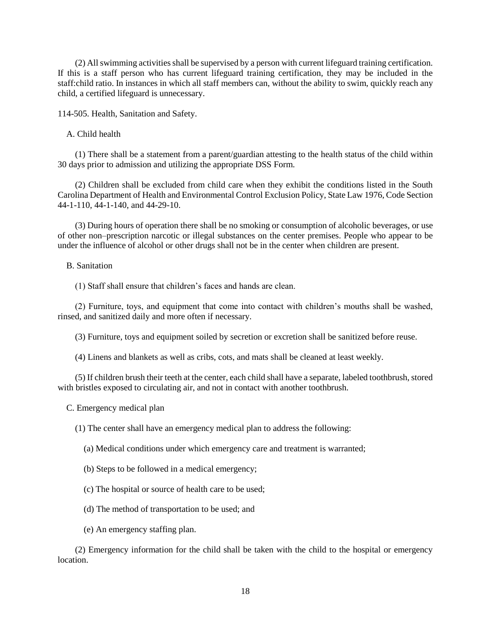(2) All swimming activities shall be supervised by a person with current lifeguard training certification. If this is a staff person who has current lifeguard training certification, they may be included in the staff:child ratio. In instances in which all staff members can, without the ability to swim, quickly reach any child, a certified lifeguard is unnecessary.

114-505. Health, Sanitation and Safety.

A. Child health

(1) There shall be a statement from a parent/guardian attesting to the health status of the child within 30 days prior to admission and utilizing the appropriate DSS Form.

(2) Children shall be excluded from child care when they exhibit the conditions listed in the South Carolina Department of Health and Environmental Control Exclusion Policy, State Law 1976, Code Section 44-1-110, 44-1-140, and 44-29-10.

(3) During hours of operation there shall be no smoking or consumption of alcoholic beverages, or use of other non–prescription narcotic or illegal substances on the center premises. People who appear to be under the influence of alcohol or other drugs shall not be in the center when children are present.

B. Sanitation

(1) Staff shall ensure that children's faces and hands are clean.

(2) Furniture, toys, and equipment that come into contact with children's mouths shall be washed, rinsed, and sanitized daily and more often if necessary.

(3) Furniture, toys and equipment soiled by secretion or excretion shall be sanitized before reuse.

(4) Linens and blankets as well as cribs, cots, and mats shall be cleaned at least weekly.

(5) If children brush their teeth at the center, each child shall have a separate, labeled toothbrush, stored with bristles exposed to circulating air, and not in contact with another toothbrush.

C. Emergency medical plan

(1) The center shall have an emergency medical plan to address the following:

(a) Medical conditions under which emergency care and treatment is warranted;

(b) Steps to be followed in a medical emergency;

(c) The hospital or source of health care to be used;

(d) The method of transportation to be used; and

(e) An emergency staffing plan.

(2) Emergency information for the child shall be taken with the child to the hospital or emergency location.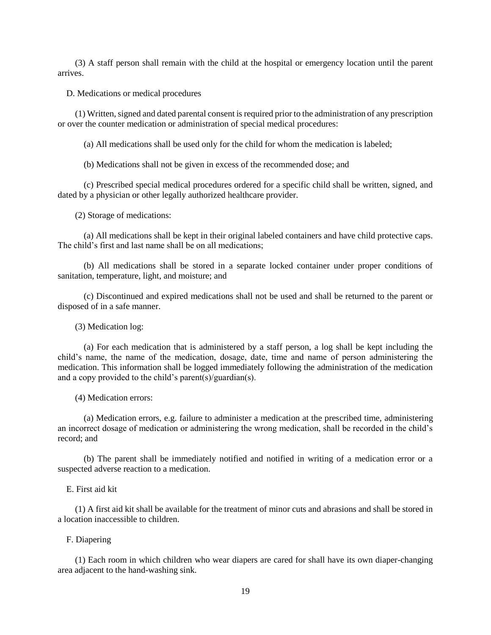(3) A staff person shall remain with the child at the hospital or emergency location until the parent arrives.

D. Medications or medical procedures

(1) Written, signed and dated parental consent is required prior to the administration of any prescription or over the counter medication or administration of special medical procedures:

(a) All medications shall be used only for the child for whom the medication is labeled;

(b) Medications shall not be given in excess of the recommended dose; and

(c) Prescribed special medical procedures ordered for a specific child shall be written, signed, and dated by a physician or other legally authorized healthcare provider.

(2) Storage of medications:

(a) All medications shall be kept in their original labeled containers and have child protective caps. The child's first and last name shall be on all medications;

(b) All medications shall be stored in a separate locked container under proper conditions of sanitation, temperature, light, and moisture; and

(c) Discontinued and expired medications shall not be used and shall be returned to the parent or disposed of in a safe manner.

(3) Medication log:

(a) For each medication that is administered by a staff person, a log shall be kept including the child's name, the name of the medication, dosage, date, time and name of person administering the medication. This information shall be logged immediately following the administration of the medication and a copy provided to the child's parent(s)/guardian(s).

(4) Medication errors:

(a) Medication errors, e.g. failure to administer a medication at the prescribed time, administering an incorrect dosage of medication or administering the wrong medication, shall be recorded in the child's record; and

(b) The parent shall be immediately notified and notified in writing of a medication error or a suspected adverse reaction to a medication.

### E. First aid kit

(1) A first aid kit shall be available for the treatment of minor cuts and abrasions and shall be stored in a location inaccessible to children.

F. Diapering

(1) Each room in which children who wear diapers are cared for shall have its own diaper-changing area adjacent to the hand-washing sink.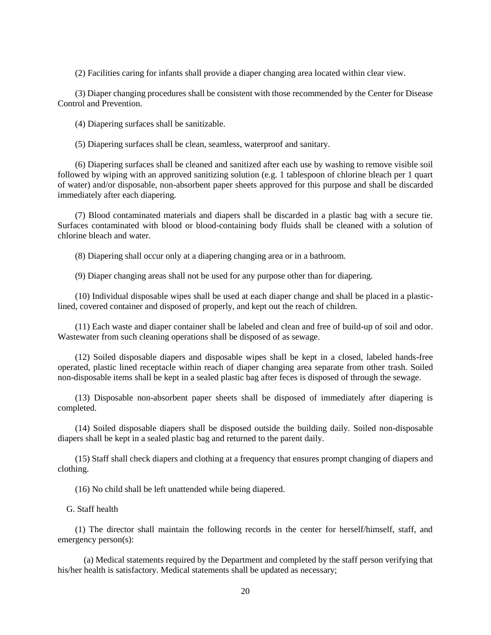(2) Facilities caring for infants shall provide a diaper changing area located within clear view.

(3) Diaper changing procedures shall be consistent with those recommended by the Center for Disease Control and Prevention.

(4) Diapering surfaces shall be sanitizable.

(5) Diapering surfaces shall be clean, seamless, waterproof and sanitary.

(6) Diapering surfaces shall be cleaned and sanitized after each use by washing to remove visible soil followed by wiping with an approved sanitizing solution (e.g. 1 tablespoon of chlorine bleach per 1 quart of water) and/or disposable, non-absorbent paper sheets approved for this purpose and shall be discarded immediately after each diapering.

(7) Blood contaminated materials and diapers shall be discarded in a plastic bag with a secure tie. Surfaces contaminated with blood or blood-containing body fluids shall be cleaned with a solution of chlorine bleach and water.

(8) Diapering shall occur only at a diapering changing area or in a bathroom.

(9) Diaper changing areas shall not be used for any purpose other than for diapering.

(10) Individual disposable wipes shall be used at each diaper change and shall be placed in a plasticlined, covered container and disposed of properly, and kept out the reach of children.

(11) Each waste and diaper container shall be labeled and clean and free of build-up of soil and odor. Wastewater from such cleaning operations shall be disposed of as sewage.

(12) Soiled disposable diapers and disposable wipes shall be kept in a closed, labeled hands-free operated, plastic lined receptacle within reach of diaper changing area separate from other trash. Soiled non-disposable items shall be kept in a sealed plastic bag after feces is disposed of through the sewage.

(13) Disposable non-absorbent paper sheets shall be disposed of immediately after diapering is completed.

(14) Soiled disposable diapers shall be disposed outside the building daily. Soiled non-disposable diapers shall be kept in a sealed plastic bag and returned to the parent daily.

(15) Staff shall check diapers and clothing at a frequency that ensures prompt changing of diapers and clothing.

(16) No child shall be left unattended while being diapered.

#### G. Staff health

(1) The director shall maintain the following records in the center for herself/himself, staff, and emergency person(s):

(a) Medical statements required by the Department and completed by the staff person verifying that his/her health is satisfactory. Medical statements shall be updated as necessary;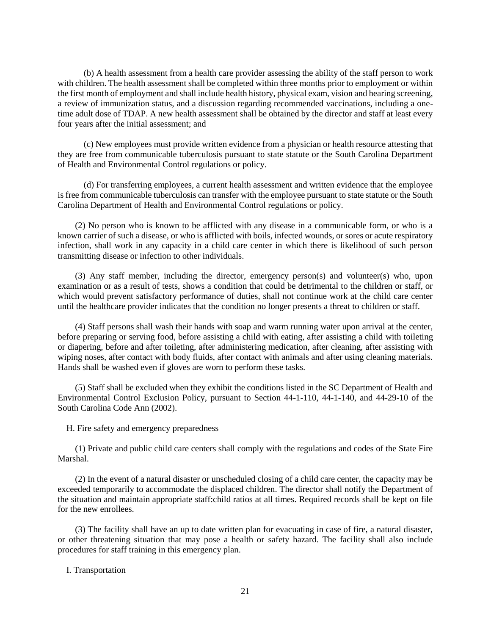(b) A health assessment from a health care provider assessing the ability of the staff person to work with children. The health assessment shall be completed within three months prior to employment or within the first month of employment and shall include health history, physical exam, vision and hearing screening, a review of immunization status, and a discussion regarding recommended vaccinations, including a onetime adult dose of TDAP. A new health assessment shall be obtained by the director and staff at least every four years after the initial assessment; and

(c) New employees must provide written evidence from a physician or health resource attesting that they are free from communicable tuberculosis pursuant to state statute or the South Carolina Department of Health and Environmental Control regulations or policy.

(d) For transferring employees, a current health assessment and written evidence that the employee is free from communicable tuberculosis can transfer with the employee pursuant to state statute or the South Carolina Department of Health and Environmental Control regulations or policy.

(2) No person who is known to be afflicted with any disease in a communicable form, or who is a known carrier of such a disease, or who is afflicted with boils, infected wounds, or sores or acute respiratory infection, shall work in any capacity in a child care center in which there is likelihood of such person transmitting disease or infection to other individuals.

(3) Any staff member, including the director, emergency person(s) and volunteer(s) who, upon examination or as a result of tests, shows a condition that could be detrimental to the children or staff, or which would prevent satisfactory performance of duties, shall not continue work at the child care center until the healthcare provider indicates that the condition no longer presents a threat to children or staff.

(4) Staff persons shall wash their hands with soap and warm running water upon arrival at the center, before preparing or serving food, before assisting a child with eating, after assisting a child with toileting or diapering, before and after toileting, after administering medication, after cleaning, after assisting with wiping noses, after contact with body fluids, after contact with animals and after using cleaning materials. Hands shall be washed even if gloves are worn to perform these tasks.

(5) Staff shall be excluded when they exhibit the conditions listed in the SC Department of Health and Environmental Control Exclusion Policy, pursuant to Section 44-1-110, 44-1-140, and 44-29-10 of the South Carolina Code Ann (2002).

H. Fire safety and emergency preparedness

(1) Private and public child care centers shall comply with the regulations and codes of the State Fire Marshal.

(2) In the event of a natural disaster or unscheduled closing of a child care center, the capacity may be exceeded temporarily to accommodate the displaced children. The director shall notify the Department of the situation and maintain appropriate staff:child ratios at all times. Required records shall be kept on file for the new enrollees.

(3) The facility shall have an up to date written plan for evacuating in case of fire, a natural disaster, or other threatening situation that may pose a health or safety hazard. The facility shall also include procedures for staff training in this emergency plan.

I. Transportation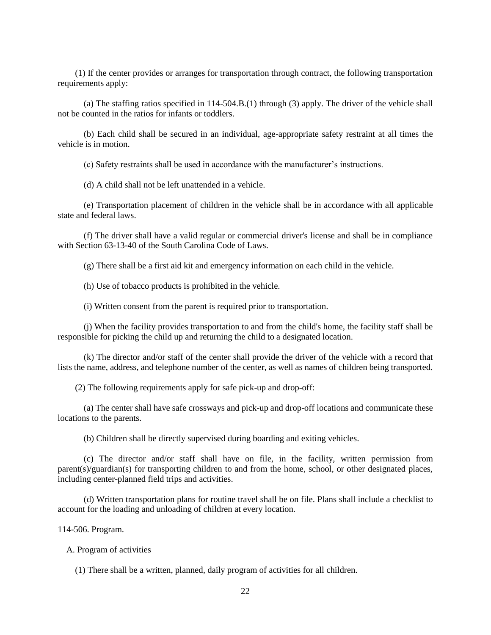(1) If the center provides or arranges for transportation through contract, the following transportation requirements apply:

(a) The staffing ratios specified in 114-504.B.(1) through (3) apply. The driver of the vehicle shall not be counted in the ratios for infants or toddlers.

(b) Each child shall be secured in an individual, age-appropriate safety restraint at all times the vehicle is in motion.

(c) Safety restraints shall be used in accordance with the manufacturer's instructions.

(d) A child shall not be left unattended in a vehicle.

(e) Transportation placement of children in the vehicle shall be in accordance with all applicable state and federal laws.

(f) The driver shall have a valid regular or commercial driver's license and shall be in compliance with Section 63-13-40 of the South Carolina Code of Laws.

(g) There shall be a first aid kit and emergency information on each child in the vehicle.

(h) Use of tobacco products is prohibited in the vehicle.

(i) Written consent from the parent is required prior to transportation.

(j) When the facility provides transportation to and from the child's home, the facility staff shall be responsible for picking the child up and returning the child to a designated location.

(k) The director and/or staff of the center shall provide the driver of the vehicle with a record that lists the name, address, and telephone number of the center, as well as names of children being transported.

(2) The following requirements apply for safe pick-up and drop-off:

(a) The center shall have safe crossways and pick-up and drop-off locations and communicate these locations to the parents.

(b) Children shall be directly supervised during boarding and exiting vehicles.

(c) The director and/or staff shall have on file, in the facility, written permission from parent(s)/guardian(s) for transporting children to and from the home, school, or other designated places, including center-planned field trips and activities.

(d) Written transportation plans for routine travel shall be on file. Plans shall include a checklist to account for the loading and unloading of children at every location.

114-506. Program.

A. Program of activities

(1) There shall be a written, planned, daily program of activities for all children.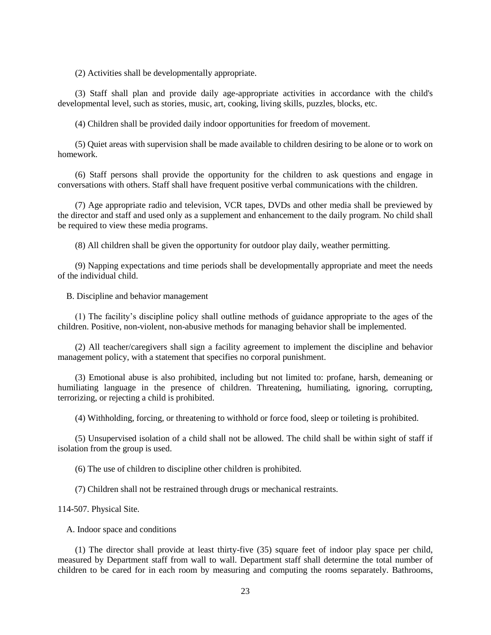(2) Activities shall be developmentally appropriate.

(3) Staff shall plan and provide daily age-appropriate activities in accordance with the child's developmental level, such as stories, music, art, cooking, living skills, puzzles, blocks, etc.

(4) Children shall be provided daily indoor opportunities for freedom of movement.

(5) Quiet areas with supervision shall be made available to children desiring to be alone or to work on homework.

(6) Staff persons shall provide the opportunity for the children to ask questions and engage in conversations with others. Staff shall have frequent positive verbal communications with the children.

(7) Age appropriate radio and television, VCR tapes, DVDs and other media shall be previewed by the director and staff and used only as a supplement and enhancement to the daily program. No child shall be required to view these media programs.

(8) All children shall be given the opportunity for outdoor play daily, weather permitting.

(9) Napping expectations and time periods shall be developmentally appropriate and meet the needs of the individual child.

B. Discipline and behavior management

(1) The facility's discipline policy shall outline methods of guidance appropriate to the ages of the children. Positive, non-violent, non-abusive methods for managing behavior shall be implemented.

(2) All teacher/caregivers shall sign a facility agreement to implement the discipline and behavior management policy, with a statement that specifies no corporal punishment.

(3) Emotional abuse is also prohibited, including but not limited to: profane, harsh, demeaning or humiliating language in the presence of children. Threatening, humiliating, ignoring, corrupting, terrorizing, or rejecting a child is prohibited.

(4) Withholding, forcing, or threatening to withhold or force food, sleep or toileting is prohibited.

(5) Unsupervised isolation of a child shall not be allowed. The child shall be within sight of staff if isolation from the group is used.

(6) The use of children to discipline other children is prohibited.

(7) Children shall not be restrained through drugs or mechanical restraints.

114-507. Physical Site.

A. Indoor space and conditions

(1) The director shall provide at least thirty-five (35) square feet of indoor play space per child, measured by Department staff from wall to wall. Department staff shall determine the total number of children to be cared for in each room by measuring and computing the rooms separately. Bathrooms,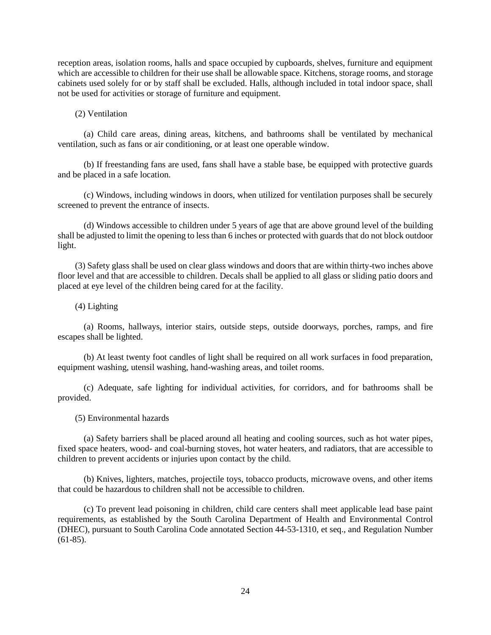reception areas, isolation rooms, halls and space occupied by cupboards, shelves, furniture and equipment which are accessible to children for their use shall be allowable space. Kitchens, storage rooms, and storage cabinets used solely for or by staff shall be excluded. Halls, although included in total indoor space, shall not be used for activities or storage of furniture and equipment.

### (2) Ventilation

(a) Child care areas, dining areas, kitchens, and bathrooms shall be ventilated by mechanical ventilation, such as fans or air conditioning, or at least one operable window.

(b) If freestanding fans are used, fans shall have a stable base, be equipped with protective guards and be placed in a safe location.

(c) Windows, including windows in doors, when utilized for ventilation purposes shall be securely screened to prevent the entrance of insects.

(d) Windows accessible to children under 5 years of age that are above ground level of the building shall be adjusted to limit the opening to less than 6 inches or protected with guards that do not block outdoor light.

(3) Safety glass shall be used on clear glass windows and doors that are within thirty-two inches above floor level and that are accessible to children. Decals shall be applied to all glass or sliding patio doors and placed at eye level of the children being cared for at the facility.

#### (4) Lighting

(a) Rooms, hallways, interior stairs, outside steps, outside doorways, porches, ramps, and fire escapes shall be lighted.

(b) At least twenty foot candles of light shall be required on all work surfaces in food preparation, equipment washing, utensil washing, hand-washing areas, and toilet rooms.

(c) Adequate, safe lighting for individual activities, for corridors, and for bathrooms shall be provided.

#### (5) Environmental hazards

(a) Safety barriers shall be placed around all heating and cooling sources, such as hot water pipes, fixed space heaters, wood- and coal-burning stoves, hot water heaters, and radiators, that are accessible to children to prevent accidents or injuries upon contact by the child.

(b) Knives, lighters, matches, projectile toys, tobacco products, microwave ovens, and other items that could be hazardous to children shall not be accessible to children.

(c) To prevent lead poisoning in children, child care centers shall meet applicable lead base paint requirements, as established by the South Carolina Department of Health and Environmental Control (DHEC), pursuant to South Carolina Code annotated Section 44-53-1310, et seq., and Regulation Number  $(61-85)$ .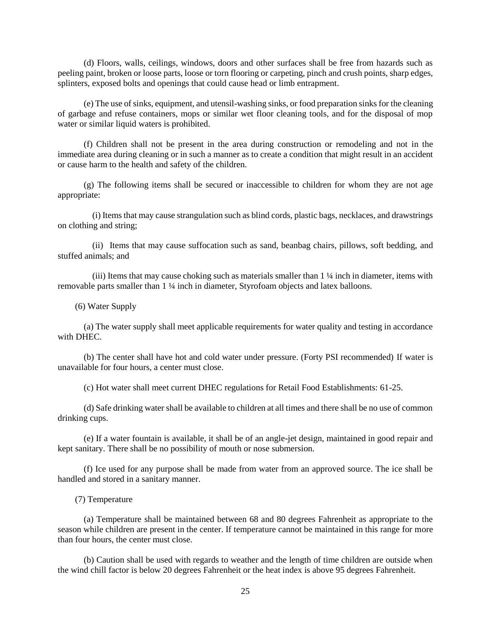(d) Floors, walls, ceilings, windows, doors and other surfaces shall be free from hazards such as peeling paint, broken or loose parts, loose or torn flooring or carpeting, pinch and crush points, sharp edges, splinters, exposed bolts and openings that could cause head or limb entrapment.

(e) The use of sinks, equipment, and utensil-washing sinks, or food preparation sinks for the cleaning of garbage and refuse containers, mops or similar wet floor cleaning tools, and for the disposal of mop water or similar liquid waters is prohibited.

(f) Children shall not be present in the area during construction or remodeling and not in the immediate area during cleaning or in such a manner as to create a condition that might result in an accident or cause harm to the health and safety of the children.

(g) The following items shall be secured or inaccessible to children for whom they are not age appropriate:

(i) Items that may cause strangulation such as blind cords, plastic bags, necklaces, and drawstrings on clothing and string;

(ii) Items that may cause suffocation such as sand, beanbag chairs, pillows, soft bedding, and stuffed animals; and

(iii) Items that may cause choking such as materials smaller than 1 ¼ inch in diameter, items with removable parts smaller than 1 ¼ inch in diameter, Styrofoam objects and latex balloons.

(6) Water Supply

(a) The water supply shall meet applicable requirements for water quality and testing in accordance with DHEC.

(b) The center shall have hot and cold water under pressure. (Forty PSI recommended) If water is unavailable for four hours, a center must close.

(c) Hot water shall meet current DHEC regulations for Retail Food Establishments: 61-25.

(d) Safe drinking water shall be available to children at all times and there shall be no use of common drinking cups.

(e) If a water fountain is available, it shall be of an angle-jet design, maintained in good repair and kept sanitary. There shall be no possibility of mouth or nose submersion.

(f) Ice used for any purpose shall be made from water from an approved source. The ice shall be handled and stored in a sanitary manner.

(7) Temperature

(a) Temperature shall be maintained between 68 and 80 degrees Fahrenheit as appropriate to the season while children are present in the center. If temperature cannot be maintained in this range for more than four hours, the center must close.

(b) Caution shall be used with regards to weather and the length of time children are outside when the wind chill factor is below 20 degrees Fahrenheit or the heat index is above 95 degrees Fahrenheit.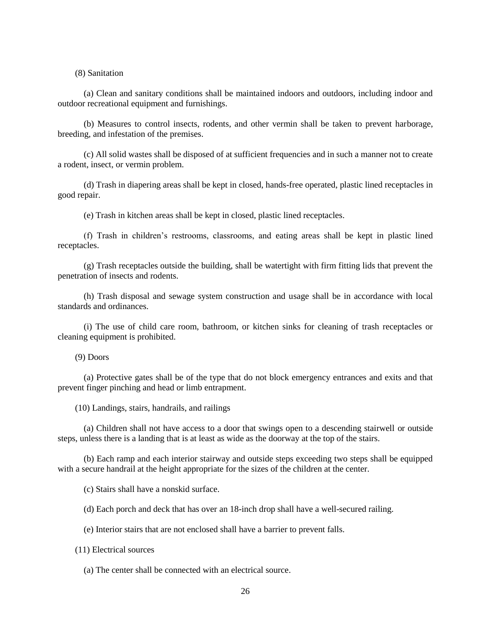(8) Sanitation

(a) Clean and sanitary conditions shall be maintained indoors and outdoors, including indoor and outdoor recreational equipment and furnishings.

(b) Measures to control insects, rodents, and other vermin shall be taken to prevent harborage, breeding, and infestation of the premises.

(c) All solid wastes shall be disposed of at sufficient frequencies and in such a manner not to create a rodent, insect, or vermin problem.

(d) Trash in diapering areas shall be kept in closed, hands-free operated, plastic lined receptacles in good repair.

(e) Trash in kitchen areas shall be kept in closed, plastic lined receptacles.

(f) Trash in children's restrooms, classrooms, and eating areas shall be kept in plastic lined receptacles.

(g) Trash receptacles outside the building, shall be watertight with firm fitting lids that prevent the penetration of insects and rodents.

(h) Trash disposal and sewage system construction and usage shall be in accordance with local standards and ordinances.

(i) The use of child care room, bathroom, or kitchen sinks for cleaning of trash receptacles or cleaning equipment is prohibited.

(9) Doors

(a) Protective gates shall be of the type that do not block emergency entrances and exits and that prevent finger pinching and head or limb entrapment.

(10) Landings, stairs, handrails, and railings

(a) Children shall not have access to a door that swings open to a descending stairwell or outside steps, unless there is a landing that is at least as wide as the doorway at the top of the stairs.

(b) Each ramp and each interior stairway and outside steps exceeding two steps shall be equipped with a secure handrail at the height appropriate for the sizes of the children at the center.

(c) Stairs shall have a nonskid surface.

(d) Each porch and deck that has over an 18-inch drop shall have a well-secured railing.

(e) Interior stairs that are not enclosed shall have a barrier to prevent falls.

(11) Electrical sources

(a) The center shall be connected with an electrical source.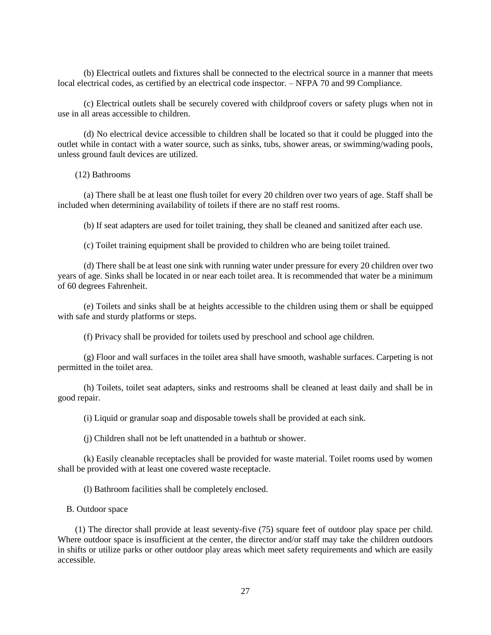(b) Electrical outlets and fixtures shall be connected to the electrical source in a manner that meets local electrical codes, as certified by an electrical code inspector. – NFPA 70 and 99 Compliance.

(c) Electrical outlets shall be securely covered with childproof covers or safety plugs when not in use in all areas accessible to children.

(d) No electrical device accessible to children shall be located so that it could be plugged into the outlet while in contact with a water source, such as sinks, tubs, shower areas, or swimming/wading pools, unless ground fault devices are utilized.

(12) Bathrooms

(a) There shall be at least one flush toilet for every 20 children over two years of age. Staff shall be included when determining availability of toilets if there are no staff rest rooms.

(b) If seat adapters are used for toilet training, they shall be cleaned and sanitized after each use.

(c) Toilet training equipment shall be provided to children who are being toilet trained.

(d) There shall be at least one sink with running water under pressure for every 20 children over two years of age. Sinks shall be located in or near each toilet area. It is recommended that water be a minimum of 60 degrees Fahrenheit.

(e) Toilets and sinks shall be at heights accessible to the children using them or shall be equipped with safe and sturdy platforms or steps.

(f) Privacy shall be provided for toilets used by preschool and school age children.

(g) Floor and wall surfaces in the toilet area shall have smooth, washable surfaces. Carpeting is not permitted in the toilet area.

(h) Toilets, toilet seat adapters, sinks and restrooms shall be cleaned at least daily and shall be in good repair.

(i) Liquid or granular soap and disposable towels shall be provided at each sink.

(j) Children shall not be left unattended in a bathtub or shower.

(k) Easily cleanable receptacles shall be provided for waste material. Toilet rooms used by women shall be provided with at least one covered waste receptacle.

(l) Bathroom facilities shall be completely enclosed.

B. Outdoor space

(1) The director shall provide at least seventy-five (75) square feet of outdoor play space per child. Where outdoor space is insufficient at the center, the director and/or staff may take the children outdoors in shifts or utilize parks or other outdoor play areas which meet safety requirements and which are easily accessible.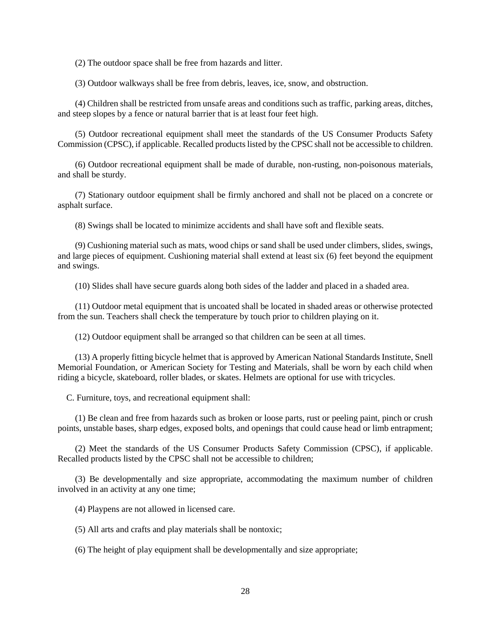(2) The outdoor space shall be free from hazards and litter.

(3) Outdoor walkways shall be free from debris, leaves, ice, snow, and obstruction.

(4) Children shall be restricted from unsafe areas and conditions such as traffic, parking areas, ditches, and steep slopes by a fence or natural barrier that is at least four feet high.

(5) Outdoor recreational equipment shall meet the standards of the US Consumer Products Safety Commission (CPSC), if applicable. Recalled products listed by the CPSC shall not be accessible to children.

(6) Outdoor recreational equipment shall be made of durable, non-rusting, non-poisonous materials, and shall be sturdy.

(7) Stationary outdoor equipment shall be firmly anchored and shall not be placed on a concrete or asphalt surface.

(8) Swings shall be located to minimize accidents and shall have soft and flexible seats.

(9) Cushioning material such as mats, wood chips or sand shall be used under climbers, slides, swings, and large pieces of equipment. Cushioning material shall extend at least six (6) feet beyond the equipment and swings.

(10) Slides shall have secure guards along both sides of the ladder and placed in a shaded area.

(11) Outdoor metal equipment that is uncoated shall be located in shaded areas or otherwise protected from the sun. Teachers shall check the temperature by touch prior to children playing on it.

(12) Outdoor equipment shall be arranged so that children can be seen at all times.

(13) A properly fitting bicycle helmet that is approved by American National Standards Institute, Snell Memorial Foundation, or American Society for Testing and Materials, shall be worn by each child when riding a bicycle, skateboard, roller blades, or skates. Helmets are optional for use with tricycles.

C. Furniture, toys, and recreational equipment shall:

(1) Be clean and free from hazards such as broken or loose parts, rust or peeling paint, pinch or crush points, unstable bases, sharp edges, exposed bolts, and openings that could cause head or limb entrapment;

(2) Meet the standards of the US Consumer Products Safety Commission (CPSC), if applicable. Recalled products listed by the CPSC shall not be accessible to children;

(3) Be developmentally and size appropriate, accommodating the maximum number of children involved in an activity at any one time;

(4) Playpens are not allowed in licensed care.

(5) All arts and crafts and play materials shall be nontoxic;

(6) The height of play equipment shall be developmentally and size appropriate;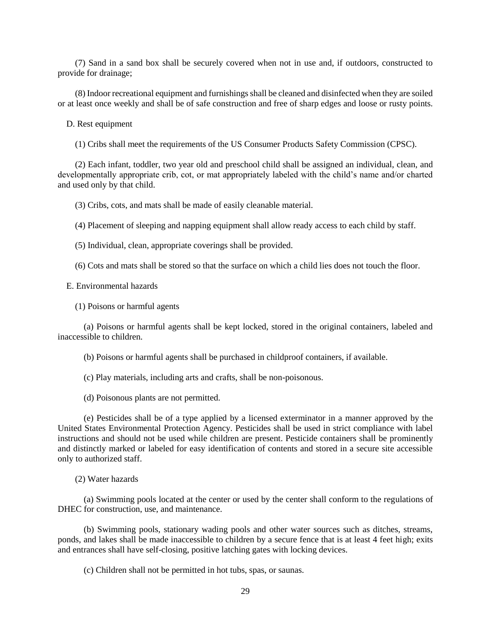(7) Sand in a sand box shall be securely covered when not in use and, if outdoors, constructed to provide for drainage;

(8) Indoor recreational equipment and furnishings shall be cleaned and disinfected when they are soiled or at least once weekly and shall be of safe construction and free of sharp edges and loose or rusty points.

D. Rest equipment

(1) Cribs shall meet the requirements of the US Consumer Products Safety Commission (CPSC).

(2) Each infant, toddler, two year old and preschool child shall be assigned an individual, clean, and developmentally appropriate crib, cot, or mat appropriately labeled with the child's name and/or charted and used only by that child.

(3) Cribs, cots, and mats shall be made of easily cleanable material.

(4) Placement of sleeping and napping equipment shall allow ready access to each child by staff.

(5) Individual, clean, appropriate coverings shall be provided.

(6) Cots and mats shall be stored so that the surface on which a child lies does not touch the floor.

E. Environmental hazards

(1) Poisons or harmful agents

(a) Poisons or harmful agents shall be kept locked, stored in the original containers, labeled and inaccessible to children.

(b) Poisons or harmful agents shall be purchased in childproof containers, if available.

(c) Play materials, including arts and crafts, shall be non-poisonous.

(d) Poisonous plants are not permitted.

(e) Pesticides shall be of a type applied by a licensed exterminator in a manner approved by the United States Environmental Protection Agency. Pesticides shall be used in strict compliance with label instructions and should not be used while children are present. Pesticide containers shall be prominently and distinctly marked or labeled for easy identification of contents and stored in a secure site accessible only to authorized staff.

(2) Water hazards

(a) Swimming pools located at the center or used by the center shall conform to the regulations of DHEC for construction, use, and maintenance.

(b) Swimming pools, stationary wading pools and other water sources such as ditches, streams, ponds, and lakes shall be made inaccessible to children by a secure fence that is at least 4 feet high; exits and entrances shall have self-closing, positive latching gates with locking devices.

(c) Children shall not be permitted in hot tubs, spas, or saunas.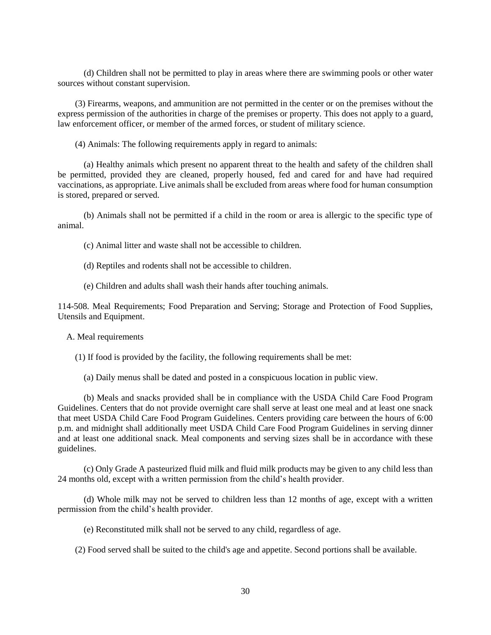(d) Children shall not be permitted to play in areas where there are swimming pools or other water sources without constant supervision.

(3) Firearms, weapons, and ammunition are not permitted in the center or on the premises without the express permission of the authorities in charge of the premises or property. This does not apply to a guard, law enforcement officer, or member of the armed forces, or student of military science.

(4) Animals: The following requirements apply in regard to animals:

(a) Healthy animals which present no apparent threat to the health and safety of the children shall be permitted, provided they are cleaned, properly housed, fed and cared for and have had required vaccinations, as appropriate. Live animals shall be excluded from areas where food for human consumption is stored, prepared or served.

(b) Animals shall not be permitted if a child in the room or area is allergic to the specific type of animal.

(c) Animal litter and waste shall not be accessible to children.

(d) Reptiles and rodents shall not be accessible to children.

(e) Children and adults shall wash their hands after touching animals.

114-508. Meal Requirements; Food Preparation and Serving; Storage and Protection of Food Supplies, Utensils and Equipment.

A. Meal requirements

(1) If food is provided by the facility, the following requirements shall be met:

(a) Daily menus shall be dated and posted in a conspicuous location in public view.

(b) Meals and snacks provided shall be in compliance with the USDA Child Care Food Program Guidelines. Centers that do not provide overnight care shall serve at least one meal and at least one snack that meet USDA Child Care Food Program Guidelines. Centers providing care between the hours of 6:00 p.m. and midnight shall additionally meet USDA Child Care Food Program Guidelines in serving dinner and at least one additional snack. Meal components and serving sizes shall be in accordance with these guidelines.

(c) Only Grade A pasteurized fluid milk and fluid milk products may be given to any child less than 24 months old, except with a written permission from the child's health provider.

(d) Whole milk may not be served to children less than 12 months of age, except with a written permission from the child's health provider.

(e) Reconstituted milk shall not be served to any child, regardless of age.

(2) Food served shall be suited to the child's age and appetite. Second portions shall be available.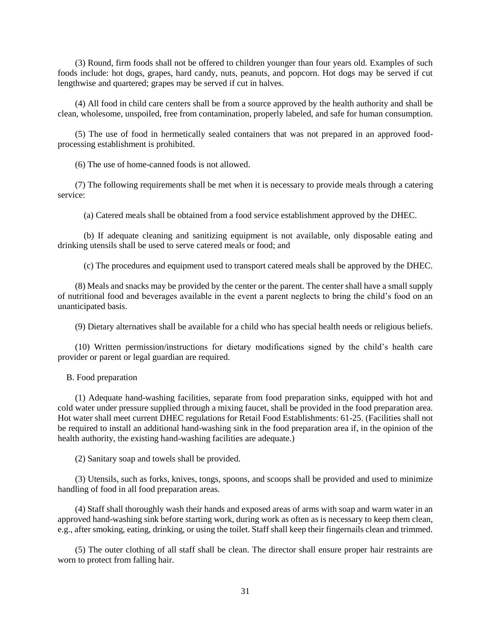(3) Round, firm foods shall not be offered to children younger than four years old. Examples of such foods include: hot dogs, grapes, hard candy, nuts, peanuts, and popcorn. Hot dogs may be served if cut lengthwise and quartered; grapes may be served if cut in halves.

(4) All food in child care centers shall be from a source approved by the health authority and shall be clean, wholesome, unspoiled, free from contamination, properly labeled, and safe for human consumption.

(5) The use of food in hermetically sealed containers that was not prepared in an approved foodprocessing establishment is prohibited.

(6) The use of home-canned foods is not allowed.

(7) The following requirements shall be met when it is necessary to provide meals through a catering service:

(a) Catered meals shall be obtained from a food service establishment approved by the DHEC.

(b) If adequate cleaning and sanitizing equipment is not available, only disposable eating and drinking utensils shall be used to serve catered meals or food; and

(c) The procedures and equipment used to transport catered meals shall be approved by the DHEC.

(8) Meals and snacks may be provided by the center or the parent. The center shall have a small supply of nutritional food and beverages available in the event a parent neglects to bring the child's food on an unanticipated basis.

(9) Dietary alternatives shall be available for a child who has special health needs or religious beliefs.

(10) Written permission/instructions for dietary modifications signed by the child's health care provider or parent or legal guardian are required.

B. Food preparation

(1) Adequate hand-washing facilities, separate from food preparation sinks, equipped with hot and cold water under pressure supplied through a mixing faucet, shall be provided in the food preparation area. Hot water shall meet current DHEC regulations for Retail Food Establishments: 61-25. (Facilities shall not be required to install an additional hand-washing sink in the food preparation area if, in the opinion of the health authority, the existing hand-washing facilities are adequate.)

(2) Sanitary soap and towels shall be provided.

(3) Utensils, such as forks, knives, tongs, spoons, and scoops shall be provided and used to minimize handling of food in all food preparation areas.

(4) Staff shall thoroughly wash their hands and exposed areas of arms with soap and warm water in an approved hand-washing sink before starting work, during work as often as is necessary to keep them clean, e.g., after smoking, eating, drinking, or using the toilet. Staff shall keep their fingernails clean and trimmed.

(5) The outer clothing of all staff shall be clean. The director shall ensure proper hair restraints are worn to protect from falling hair.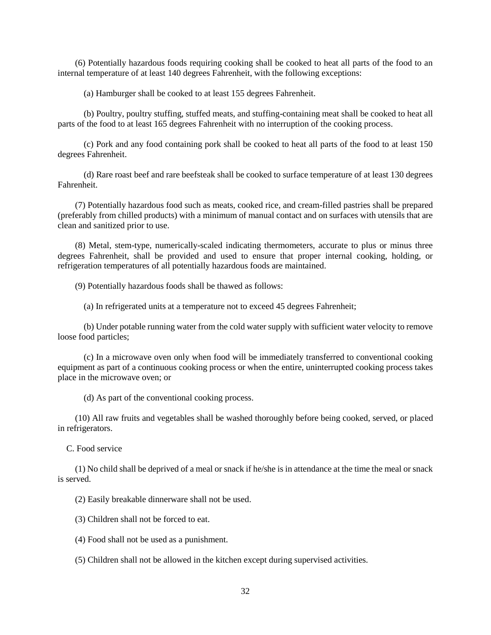(6) Potentially hazardous foods requiring cooking shall be cooked to heat all parts of the food to an internal temperature of at least 140 degrees Fahrenheit, with the following exceptions:

(a) Hamburger shall be cooked to at least 155 degrees Fahrenheit.

(b) Poultry, poultry stuffing, stuffed meats, and stuffing-containing meat shall be cooked to heat all parts of the food to at least 165 degrees Fahrenheit with no interruption of the cooking process.

(c) Pork and any food containing pork shall be cooked to heat all parts of the food to at least 150 degrees Fahrenheit.

(d) Rare roast beef and rare beefsteak shall be cooked to surface temperature of at least 130 degrees Fahrenheit.

(7) Potentially hazardous food such as meats, cooked rice, and cream-filled pastries shall be prepared (preferably from chilled products) with a minimum of manual contact and on surfaces with utensils that are clean and sanitized prior to use.

(8) Metal, stem-type, numerically-scaled indicating thermometers, accurate to plus or minus three degrees Fahrenheit, shall be provided and used to ensure that proper internal cooking, holding, or refrigeration temperatures of all potentially hazardous foods are maintained.

(9) Potentially hazardous foods shall be thawed as follows:

(a) In refrigerated units at a temperature not to exceed 45 degrees Fahrenheit;

(b) Under potable running water from the cold water supply with sufficient water velocity to remove loose food particles;

(c) In a microwave oven only when food will be immediately transferred to conventional cooking equipment as part of a continuous cooking process or when the entire, uninterrupted cooking process takes place in the microwave oven; or

(d) As part of the conventional cooking process.

(10) All raw fruits and vegetables shall be washed thoroughly before being cooked, served, or placed in refrigerators.

C. Food service

(1) No child shall be deprived of a meal or snack if he/she is in attendance at the time the meal or snack is served.

(2) Easily breakable dinnerware shall not be used.

(3) Children shall not be forced to eat.

(4) Food shall not be used as a punishment.

(5) Children shall not be allowed in the kitchen except during supervised activities.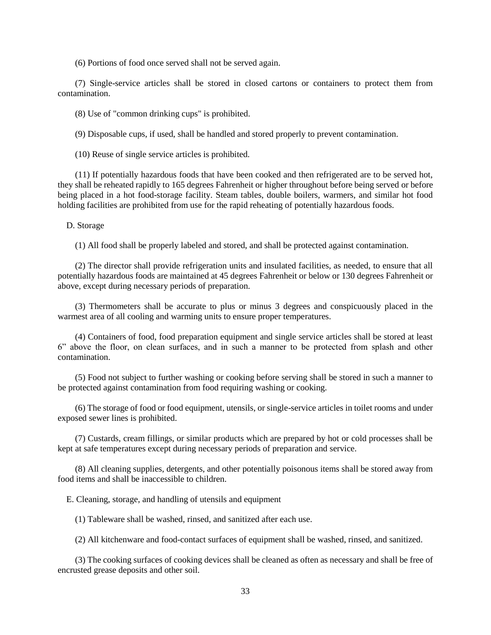(6) Portions of food once served shall not be served again.

(7) Single-service articles shall be stored in closed cartons or containers to protect them from contamination.

(8) Use of "common drinking cups" is prohibited.

(9) Disposable cups, if used, shall be handled and stored properly to prevent contamination.

(10) Reuse of single service articles is prohibited.

(11) If potentially hazardous foods that have been cooked and then refrigerated are to be served hot, they shall be reheated rapidly to 165 degrees Fahrenheit or higher throughout before being served or before being placed in a hot food-storage facility. Steam tables, double boilers, warmers, and similar hot food holding facilities are prohibited from use for the rapid reheating of potentially hazardous foods.

D. Storage

(1) All food shall be properly labeled and stored, and shall be protected against contamination.

(2) The director shall provide refrigeration units and insulated facilities, as needed, to ensure that all potentially hazardous foods are maintained at 45 degrees Fahrenheit or below or 130 degrees Fahrenheit or above, except during necessary periods of preparation.

(3) Thermometers shall be accurate to plus or minus 3 degrees and conspicuously placed in the warmest area of all cooling and warming units to ensure proper temperatures.

(4) Containers of food, food preparation equipment and single service articles shall be stored at least 6" above the floor, on clean surfaces, and in such a manner to be protected from splash and other contamination.

(5) Food not subject to further washing or cooking before serving shall be stored in such a manner to be protected against contamination from food requiring washing or cooking.

(6) The storage of food or food equipment, utensils, or single-service articles in toilet rooms and under exposed sewer lines is prohibited.

(7) Custards, cream fillings, or similar products which are prepared by hot or cold processes shall be kept at safe temperatures except during necessary periods of preparation and service.

(8) All cleaning supplies, detergents, and other potentially poisonous items shall be stored away from food items and shall be inaccessible to children.

E. Cleaning, storage, and handling of utensils and equipment

(1) Tableware shall be washed, rinsed, and sanitized after each use.

(2) All kitchenware and food-contact surfaces of equipment shall be washed, rinsed, and sanitized.

(3) The cooking surfaces of cooking devices shall be cleaned as often as necessary and shall be free of encrusted grease deposits and other soil.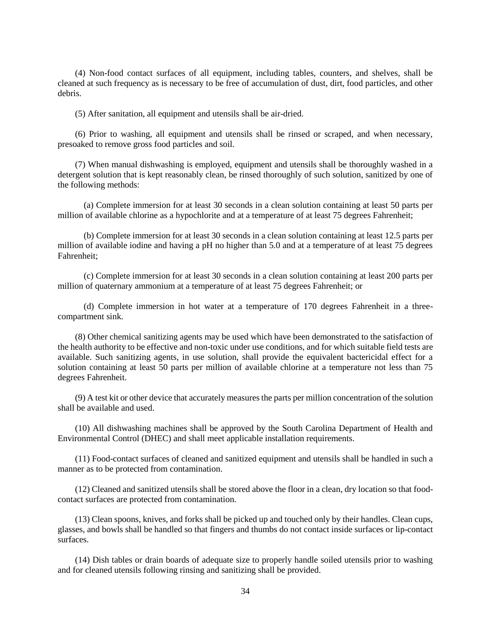(4) Non-food contact surfaces of all equipment, including tables, counters, and shelves, shall be cleaned at such frequency as is necessary to be free of accumulation of dust, dirt, food particles, and other debris.

(5) After sanitation, all equipment and utensils shall be air-dried.

(6) Prior to washing, all equipment and utensils shall be rinsed or scraped, and when necessary, presoaked to remove gross food particles and soil.

(7) When manual dishwashing is employed, equipment and utensils shall be thoroughly washed in a detergent solution that is kept reasonably clean, be rinsed thoroughly of such solution, sanitized by one of the following methods:

(a) Complete immersion for at least 30 seconds in a clean solution containing at least 50 parts per million of available chlorine as a hypochlorite and at a temperature of at least 75 degrees Fahrenheit;

(b) Complete immersion for at least 30 seconds in a clean solution containing at least 12.5 parts per million of available iodine and having a pH no higher than 5.0 and at a temperature of at least 75 degrees Fahrenheit;

(c) Complete immersion for at least 30 seconds in a clean solution containing at least 200 parts per million of quaternary ammonium at a temperature of at least 75 degrees Fahrenheit; or

(d) Complete immersion in hot water at a temperature of 170 degrees Fahrenheit in a threecompartment sink.

(8) Other chemical sanitizing agents may be used which have been demonstrated to the satisfaction of the health authority to be effective and non-toxic under use conditions, and for which suitable field tests are available. Such sanitizing agents, in use solution, shall provide the equivalent bactericidal effect for a solution containing at least 50 parts per million of available chlorine at a temperature not less than 75 degrees Fahrenheit.

(9) A test kit or other device that accurately measures the parts per million concentration of the solution shall be available and used.

(10) All dishwashing machines shall be approved by the South Carolina Department of Health and Environmental Control (DHEC) and shall meet applicable installation requirements.

(11) Food-contact surfaces of cleaned and sanitized equipment and utensils shall be handled in such a manner as to be protected from contamination.

(12) Cleaned and sanitized utensils shall be stored above the floor in a clean, dry location so that foodcontact surfaces are protected from contamination.

(13) Clean spoons, knives, and forks shall be picked up and touched only by their handles. Clean cups, glasses, and bowls shall be handled so that fingers and thumbs do not contact inside surfaces or lip-contact surfaces.

(14) Dish tables or drain boards of adequate size to properly handle soiled utensils prior to washing and for cleaned utensils following rinsing and sanitizing shall be provided.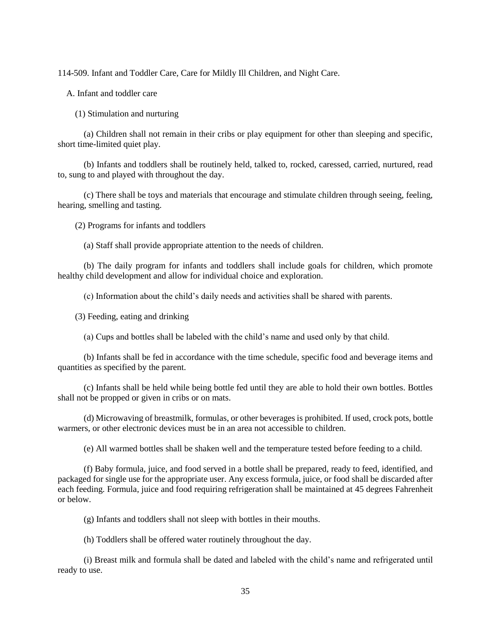114-509. Infant and Toddler Care, Care for Mildly Ill Children, and Night Care.

A. Infant and toddler care

(1) Stimulation and nurturing

(a) Children shall not remain in their cribs or play equipment for other than sleeping and specific, short time-limited quiet play.

(b) Infants and toddlers shall be routinely held, talked to, rocked, caressed, carried, nurtured, read to, sung to and played with throughout the day.

(c) There shall be toys and materials that encourage and stimulate children through seeing, feeling, hearing, smelling and tasting.

(2) Programs for infants and toddlers

(a) Staff shall provide appropriate attention to the needs of children.

(b) The daily program for infants and toddlers shall include goals for children, which promote healthy child development and allow for individual choice and exploration.

(c) Information about the child's daily needs and activities shall be shared with parents.

(3) Feeding, eating and drinking

(a) Cups and bottles shall be labeled with the child's name and used only by that child.

(b) Infants shall be fed in accordance with the time schedule, specific food and beverage items and quantities as specified by the parent.

(c) Infants shall be held while being bottle fed until they are able to hold their own bottles. Bottles shall not be propped or given in cribs or on mats.

(d) Microwaving of breastmilk, formulas, or other beverages is prohibited. If used, crock pots, bottle warmers, or other electronic devices must be in an area not accessible to children.

(e) All warmed bottles shall be shaken well and the temperature tested before feeding to a child.

(f) Baby formula, juice, and food served in a bottle shall be prepared, ready to feed, identified, and packaged for single use for the appropriate user. Any excess formula, juice, or food shall be discarded after each feeding. Formula, juice and food requiring refrigeration shall be maintained at 45 degrees Fahrenheit or below.

(g) Infants and toddlers shall not sleep with bottles in their mouths.

(h) Toddlers shall be offered water routinely throughout the day.

(i) Breast milk and formula shall be dated and labeled with the child's name and refrigerated until ready to use.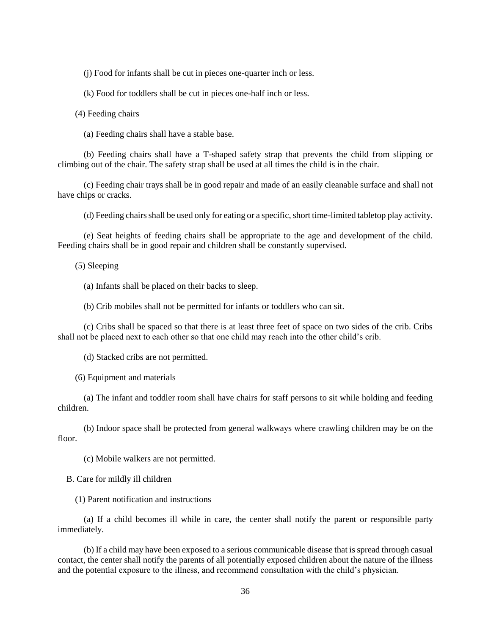(j) Food for infants shall be cut in pieces one-quarter inch or less.

(k) Food for toddlers shall be cut in pieces one-half inch or less.

(4) Feeding chairs

(a) Feeding chairs shall have a stable base.

(b) Feeding chairs shall have a T-shaped safety strap that prevents the child from slipping or climbing out of the chair. The safety strap shall be used at all times the child is in the chair.

(c) Feeding chair trays shall be in good repair and made of an easily cleanable surface and shall not have chips or cracks.

(d) Feeding chairs shall be used only for eating or a specific, short time-limited tabletop play activity.

(e) Seat heights of feeding chairs shall be appropriate to the age and development of the child. Feeding chairs shall be in good repair and children shall be constantly supervised.

(5) Sleeping

(a) Infants shall be placed on their backs to sleep.

(b) Crib mobiles shall not be permitted for infants or toddlers who can sit.

(c) Cribs shall be spaced so that there is at least three feet of space on two sides of the crib. Cribs shall not be placed next to each other so that one child may reach into the other child's crib.

(d) Stacked cribs are not permitted.

(6) Equipment and materials

(a) The infant and toddler room shall have chairs for staff persons to sit while holding and feeding children.

(b) Indoor space shall be protected from general walkways where crawling children may be on the floor.

(c) Mobile walkers are not permitted.

B. Care for mildly ill children

(1) Parent notification and instructions

(a) If a child becomes ill while in care, the center shall notify the parent or responsible party immediately.

(b) If a child may have been exposed to a serious communicable disease that is spread through casual contact, the center shall notify the parents of all potentially exposed children about the nature of the illness and the potential exposure to the illness, and recommend consultation with the child's physician.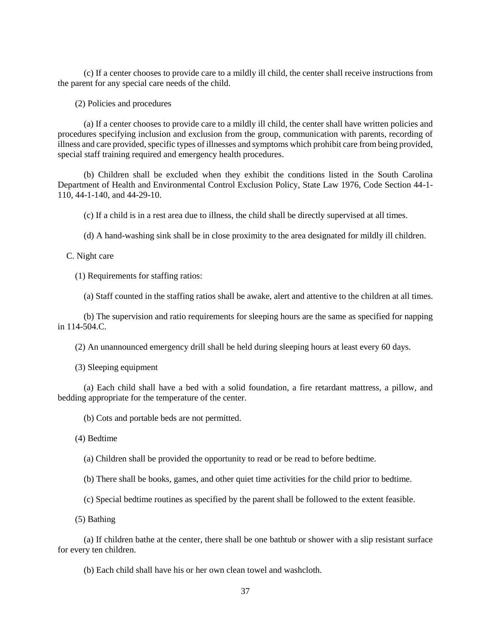(c) If a center chooses to provide care to a mildly ill child, the center shall receive instructions from the parent for any special care needs of the child.

(2) Policies and procedures

(a) If a center chooses to provide care to a mildly ill child, the center shall have written policies and procedures specifying inclusion and exclusion from the group, communication with parents, recording of illness and care provided, specific types of illnesses and symptoms which prohibit care from being provided, special staff training required and emergency health procedures.

(b) Children shall be excluded when they exhibit the conditions listed in the South Carolina Department of Health and Environmental Control Exclusion Policy, State Law 1976, Code Section 44-1- 110, 44-1-140, and 44-29-10.

(c) If a child is in a rest area due to illness, the child shall be directly supervised at all times.

(d) A hand-washing sink shall be in close proximity to the area designated for mildly ill children.

### C. Night care

(1) Requirements for staffing ratios:

(a) Staff counted in the staffing ratios shall be awake, alert and attentive to the children at all times.

(b) The supervision and ratio requirements for sleeping hours are the same as specified for napping in 114-504.C.

(2) An unannounced emergency drill shall be held during sleeping hours at least every 60 days.

(3) Sleeping equipment

(a) Each child shall have a bed with a solid foundation, a fire retardant mattress, a pillow, and bedding appropriate for the temperature of the center.

(b) Cots and portable beds are not permitted.

(4) Bedtime

(a) Children shall be provided the opportunity to read or be read to before bedtime.

(b) There shall be books, games, and other quiet time activities for the child prior to bedtime.

(c) Special bedtime routines as specified by the parent shall be followed to the extent feasible.

(5) Bathing

(a) If children bathe at the center, there shall be one bathtub or shower with a slip resistant surface for every ten children.

(b) Each child shall have his or her own clean towel and washcloth.